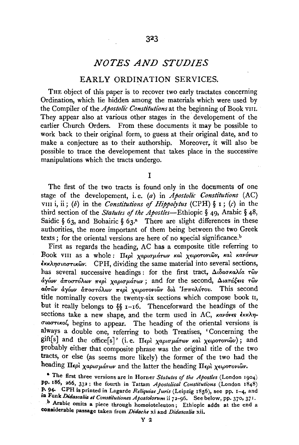## *NOTES AND STUDIES*

### EARLY ORDINATION SERVICES.

THE object of this paper is to recover two early tractates concerning Ordination, which lie hidden among the materials which were used by the Compiler of the *Apostolic Constitutions* at the beginning of Book viii. They appear also at various other stages in the developement of the earlier Church Orders. From these documents it may be possible to work back to their original form, to guess at their original date, and to make a conjecture as to their authorship. Moreover. it will also be possible to trace the developement that takes place in the successive manipulations which the tracts undergo.

I

The first of the two tracts is found only in the documents of one stage of the developement, i.e. (a) in *Apostolic Constitutions* (AC) VIII i, ii; (b) in the *Constitutions of Hippolytus* (CPH) § I ; (c) in the third section of the *Statutes of the Apostles-*Ethiopic § 49, Arahic § 48, Saidic  $653$ , and Bohairic  $653$ <sup>a</sup> There are slight differences in these authorities, the more important of them being between the two Greek texts; for the oriental versions are here of no special significance.<sup>b</sup>

First as regards the heading, AC has a composite title referring to Book vIII as a whole: Περί χαρισμάτων και χειροτονιών, και κανόνων  $\epsilon$ KK $\lambda$ n $\sigma$ ua $\sigma$ TIK $\omega$ v; CPH, dividing the same material into several sections, has several successive headings: for the first tract, Διδασκαλία των  $d\gamma$ ίων *άποστόλων περί χαρισμάτων*; and for the second, Διατάξεις τῶν airων αγίων αποστόλων περι χειροτονιών δια 'Iππολύτου. This second title nominally covers the twenty-six sections which compose book u, but it really belongs to  $\frac{1}{2}$  1-16. Thenceforward the headings of the sections take a new shape, and the term used in AC,  $\kappa \alpha \nu \acute{o} \nu \epsilon s$   $\epsilon \kappa \kappa \lambda \eta$ *utarrrtKo{,* begins to appear. The heading of the oriental versions is always a double one, referring to both Treatises, 'Concerning the gift[s] and the office[s]' (i.e. Περλ χαρισμάτων και χειροτονιών); and probably either that composite phrase was the original title of the two tracts, or else (as seems more likely) the former of the two had the heading Περι χαρισμάτων and the latter the heading Περι χειροτονιών.

<sup>\*</sup> The first three versions are in Horner *Statutes of the Apostles* (London 1904) pp, I86, 266, 332; the fourth in Tattam *Apostolical Constitutions* (London 1848) ~· 94· CPH is printed in Lagarde *Re!iquiae juris* (Leipzig 1856), see pp. 1-4, and in Funk *Didascalia et Constitutiones Apostolorum* ii 72-96. See below, pp. 370, 371. b Arabic omits a piece through homoioteleuton; Ethiopic adds at the end a

constderable passage taken from *Didache* xi and *Didascalia* xii,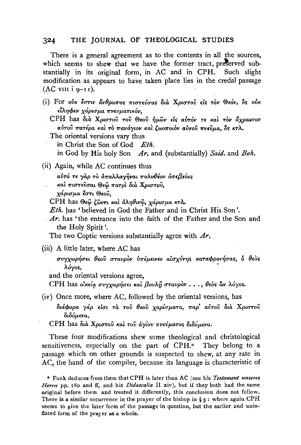There is a general agreement as to the contents in all the sources, which seems to shew that we have the former tract, preserved substantially in its original form, in AC and in CPH. Such slight modification as appears to have taken place lies in the credal passage (AC vIII i 9–11).

(i) For ούκ έστιν άνθρωπος πιστεύσας διά Χριστού είς τον Θεόν, δς ούκ είληφεν χάρισμα πνευματικόν.

CPH has διά Χριστού του Θεού ήμων είς αυτόν τε και τον άχραντον αύτου πατέρα και το πανάγιον και ζωοποιον αύτου πνεύμα, δς κτλ.

The oriental versions vary thus

in Christ the Son of God Eth.

in God by His holy Son Ar. and (substantially) Said. and Boh.

(ii) Again, while AC continues thus

αύτό τε γάρ τὸ ἀπαλλαγῆναι πολυθέου ἀσεβείας καί πιστεύσαι Θεώ πατρί διά Χριστού,

χάρισμα έστι Θεού,

CPH has Θεώ ζώντι και άληθινώ, χάρισμα κτλ.

Eth. has 'believed in God the Father and in Christ His Son'.

 $A$ r, has 'the entrance into the faith of the Father and the Son and the Holy Spirit'.

The two Coptic versions substantially agree with  $Ar$ ,

(iii) A little later, where AC has

συγχωρήσει θεού σταυρόν υπέμεινεν αίσχύνης καταφρονήσας, ο θεός λόγος,

and the oriental versions agree,

CPH has οίκεία συγχωρήσει και βουλή σταυρόν..., θεός ων λόγος.

(iv) Once more, where AC, followed by the oriental versions, has

διάφορα γάρ είσι τα του θεου χαρίσματα, παρ' αύτου δια Χριστου διδόμενα,

CPH has διά Χριστού και του άγίου πνεύματος διδόμενα.

These four modifications shew some theological and christological sensitiveness, especially on the part of CPH.<sup>a</sup> They belong to a passage which on other grounds is suspected to shew, at any rate in AC, the hand of the compiler, because its language is characteristic of

<sup>&</sup>lt;sup>a</sup> Funk deduces from them that CPH is later than AC (see his Testament unseres Herrn pp. 180 and ff, and his Didascalia II xiv), but if they both had the same original before them and treated it differently, this conclusion does not follow. There is a similar occurrence in the prayer of the bishop in  $\S$ 5: where again CPH seems to give the later form of the passage in question, but the earlier and uninflated form of the prayer as a whole.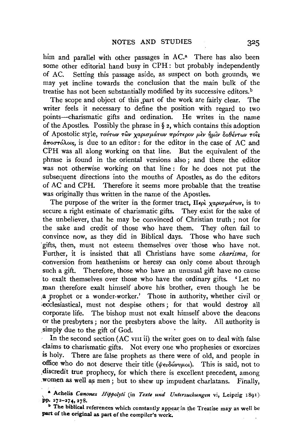him and parallel with other passages in AC.<sup>a</sup> There has also been some other editorial hand busy in CPH : but probably independently of AC. Setting this passage aside, as suspect on both grounds, we may yet incline towards the conclusion that the main bulk of the treatise has not been substantially modified by its successive editors. <sup>b</sup>

The scope and object of this part of the work are fairly clear. The writer feels it necessary to define the position with regard to two points-charismatic gifts and ordination. He writes in the name of the Apostles. Possibly the phrase in § *z,* which contains this adoption of Apostolic style, *TOVTWV TWV xapurp.d.TWV 7rpOT£pov p.£v* ~p.'iv *oo8€vTWV* TOt~  $\frac{\partial \pi}{\partial \sigma}$   $\frac{\partial \pi}{\partial \sigma}$  (i.e. to an editor: for the editor in the case of AC and CPH was all along working on that line. But the equivalent of the phrase is found in the oriental versions also ; and there the editor was not otherwise working on that line : for he does not put the subsequent directions into the mouths of Apostles, as do the editors of AC and CPH. Therefore it seems more probable that the treatise was originally thus written in the name of the Apostles.

The purpose of the writer in the former tract,  $\Pi \epsilon \rho \hat{i} \chi_{\alpha \rho \mu \sigma \mu} a \tau \omega \nu$ , is to secure a right estimate of charismatic gifts. They exist for the sake of the unbeliever, that he may be convinced of Christian truth; not for the sake and credit of those who have them. They often fail to convince now, as they did in Biblical days. Those who have such ·gifts, then, must not esteem themselves over those who have not. Further, it is insisted that all Christians have some *charisma,* for conversion from heathenism or heresy can only come about through such a gift. Therefore, those who have an unusual gift have no cause to exalt themselves over those who have the ordinary gifts. 'Let no man therefore exalt himself above his brother, even though he be ,a prophet or a wonder-worker.' Those in authority, whether civil or ecclesiastical, must not despise others; for that would destroy all corporate life. The bishop must not exalt himself above the deacons or the presbyters; nor the presbyters above the laity. All authority is .simply due to the gift of God.

In the second section (AC vIII ii) the writer goes on to deal with false -claims to charismatic gifts. Not every one who prophesies or exorcizes is holy. There are false prophets as there were of old, and people in office who do not deserve their title ( $\psi \in \delta \omega \nu \psi$  ou). This is said, not to ,discredit true prophecy, for which there is excellent precedent, among women as well as men; but to shew up impudent charlatans. Finally,

<sup>.. •</sup> Achelis *Canones Hzppolyti* (in *Texte und Untersuchungen* vi, Leipzig 1891). pp. 272-274,278.

<sup>&</sup>lt;sup>b</sup> The biblical references which constantly appear in the Treatise may as well be part of the original as part of the compiler's work.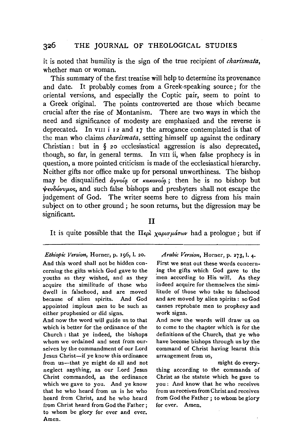it is noted that humility is the sign of the true recipient of *charismata,*  whether man or woman.

This summary of the first treatise will help to determine its provenance and date. It probably comes from a Greek-speaking source; for the oriental versions, and especially the Coptic pair, seem to point to a Greek original. The points controverted are those which became crucial after the rise of Montanism. There are two ways in which the need and significance of modesty are emphasized and the reverse is deprecated. In viii  $\overline{1}$  2 and  $\overline{1}$  the arrogance contemplated is that of the man who claims *charismata*, setting himself up against the ordinary Christian : but in § 20 ecclesiastical aggression is also deprecated, though, so far, in general terms. In VIII ii, when false prophecy is in question, a more pointed criticism is made of the ecclesiastical hierarchy. Neither gifts nor office make up for personal unworthiness. The bishop may be disqualified  $\partial_x\gamma$ vo $\partial_\alpha$  or  $\kappa$ akovo $\partial_\alpha$ ; then he is no bishop but  $\psi$ ευδώννμος, and such false bishops and presbyters shall not escape the judgement of God. The writer seems here to digress from his main subject on to other ground; he soon returns, but the digression may be significant.

II

It is quite possible that the  $\Pi \epsilon \rho \hat{i} \chi \alpha \rho \omega \sigma \mu \hat{\alpha} \tau \omega \nu$  had a prologue; but if

*Ethiopic Version,* Homer, p. 196, I. 20. And this word shall not be hidden concerning the gifts which God gave to the youths as they wished, and as they acquire the similitude of those who dwell in falsehood, and are moved because of alien spirits. And God appointed impious men to be such as either prophesied or did signs.

And now the word will guide us to that which is better for the ordinance of the Church : that ye indeed, the bishops whom we ordained and sent from ourselves by the commandment of our Lord Jesus Christ-if ye know this ordinance from us-that ye might do all and not neglect anything, as our Lord Jesus Christ commanded, as the ordinance which we gave to you. And ye know that he who heard from us is he who heard from Christ, and he who heard from Christ heard from God the Father; to whom be glory for ever and ever. Amen.

*,Arabic Version,* Homer, p. 273, I. 4·

First we sent out these words concerning the gifts which God gave to the men according to His will. As they indeed acquire for themselves the simi· litude of those who take to falsehood and are moved by alien spirits : so God causes reprobate men to prophesy and work signs.

And now the words will draw us on to come to the chapter which is for the definitions of the Church, that ye who have become bishops through us by the command of Christ having learnt this arrangement from us,

might do every~ thing according to the commands of Christ as the statute which he gave to you: And know that he who receives from us receives from Christ and receives from God the Father ; to whom be glory for ever. Amen.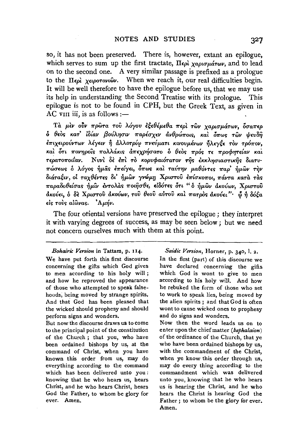so, it has not been preserved. There is, however, extant an epilogue, which serves to sum up the first tractate,  $\prod_{\epsilon \rho} \chi_{\alpha \rho \iota \sigma \mu \alpha \tau \omega \nu}$ , and to lead on to the second one. A very similar passage is prefixed as a prologue When we reach it, our real difficulties begin. to the  $\Pi \epsilon \rho \hat{i}$  χειροτονιών. It will be well therefore to have the epilogue before us, that we may use its help in understanding the Second Treatise with its prologue. This epilogue is not to be found in CPH, but the Greek Text, as given in AC vIII iii, is as follows :-

Τα μεν ούν πρώτα του λόγου εξεθέμεθα περί των χαρισμάτων, όσαπερ δ θεός κατ' ίδίαν βούλησιν παρέσχεν άνθρώποις, και δπως τῶν ψευδή έπιχειρούντων λέγειν ή άλλοτρίω πνεύματι κινουμένων ήλεγξε τον τρόπον, και ότι πονηροίς πολλάκις απεχρήσατο ο θεός πρός τε προφητείαν και τερατοποιΐαν. Νυνί δε έπι το κορυφαιότατον της εκκλησιαστικής διατυπώσεως ο λόγος ήμας επείγει, όπως και ταύτην μαθόντες παρ' ήμων την διάταξιν, οί ταχθέντες δι' ήμων γνώμη Χριστού επίσκοποι, πάντα κατα τας παραδοθείσας ήμιν έντολάς ποιήσθε, είδότες ότι " ο ήμων άκούων, Χριστού άκούει, ο δε Χριστου άκούων, του θεου αύτου και πατρος άκούει" · ώ ή δόξα είς τους αίωνας. Αμήν.

The four oriental versions have preserved the epilogue; they interpret it with varying degrees of success, as may be seen below; but we need not concern ourselves much with them at this point.

Bohairic Version in Tattam, p. 114. We have put forth this first discourse concerning the gifts which God gives to men according to his holy will; and how he reproved the appearance of those who attempted to speak falsehoods, being moved by strange spirits. And that God has been pleased that the wicked should prophesy and should perform signs and wonders.

But now the discourse draws us to come to the principal point of the constitution of the Church; that you, who have been ordained bishops by us, at the command of Christ, when you have known this order from us, may do everything according to the command which has been delivered unto you: knowing that he who hears us, hears Christ, and he who hears Christ, hears God the Father, to whom be glory for ever. Amen.

Saidic Version, Horner, p. 340, l. 2. In the first (part) of this discourse we have declared concerning the gifts which God is wont to give to men according to his holy will. And how he rebuked the form of those who set to work to speak lies, being moved by the alien spirits; and that God is often wont to cause wicked ones to prophesy and do signs and wonders.

Now then the word leads us on to enter upon the chief matter (kephalaion) of the ordinance of the Church, that ye who have been ordained bishops by us, with the commandment of the Christ, when ye know this order through us, may do every thing according to the commandment which was delivered unto you, knowing that he who hears us is hearing the Christ, and he who hears the Christ is hearing God the Father ; to whom be the glory for ever. Amen.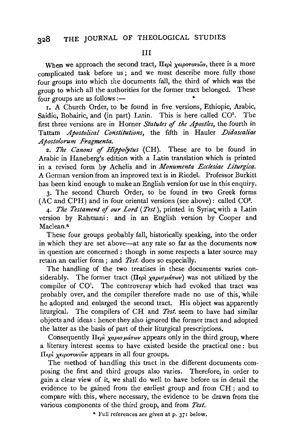### Ill

When we approach the second tract,  $\Pi_{\epsilon} \rho \partial \chi_{\epsilon}$  *x* $\epsilon_{\mu} \rho \sigma_{\sigma} \partial \nu \partial_{\nu} \phi$ , there is a more complicated task before us; and we must describe more fully those four groups into which the documents fall, the third of which was the group to which all the authorities for the former tract belonged. These  $\int$  four groups are as follows :—

1. A Church Order; to be found in five versions, Ethiopic, Arabic, aidic, Bohairic, and (in part) Latin. This is here called CO<sup>1</sup>. The first three versions are in Horner *Statutes of the Apostles*, the fourth in Tattam *Apostolical Constitutions,* the fifth in Hauler *Didascaliae Apostolorum Fragmenta.* 

2. *The Canons of Hippolytus* (CH). These are to be found in Arabic in Haneberg's edition with a Latin translation which is printed in a revised form by Achelis and in *Monumenta Ecclesiae Liturgica.*  A German version from an improved text is in RiedeL Professor Burkitt has been kind enough to make an English version for use in this enquiry.

3· The second Church Order, to be found in two Greek forms  $\overline{AC}$  and CPH) and in four oriental versions (see above): called CO<sup>2</sup>.

4. *The Testament of our Lord (Test.)*, printed in Syriac with a Latin version by Rahmani: and in an English version by Cooper and Maclean<sup>a</sup>

These four groups probably fall, historically. speaking, into the order in which they are set above-at any rate so far as the documents now in question are concerned : though in some respects a later source may retain an earlier form; and *Test.* does so especially.

The handling of the two treatises in these documents varies considerably. The former tract  $(\Pi \epsilon \rho)$  *xapwuarwv*) was not utilized by the compiler of CO'. The controversy which had evoked that tract was probably over, and the compiler therefore made no use of this, while he adopted and enlarged the second tract. His object was apparently liturgical. The compilers of CH and *Test.* seem to have had similar objects and ideas : hence they also ignored the former tract and adopted the latter as the basis of part of their liturgical prescriptions.

Consequently  $\Pi_{\epsilon}$  *xaplo-párov* appears only in the third group, where a literary interest seems to have existed beside the practical one: but *II<sub>ερ</sub>ί χειροτονιών* appears in all four groups.

The method of handling this tract in the different documents composing the first and third groups also varies. Therefore, in order to gain a clear view of it; we shall do well to have before us in detail the evidence to be gained from the earliest group and from CH ; and to compare with this, where necessary, the evidence to be drawn from the various components of the third group, and from *Test.* 

a Full references are given at p. 371 below.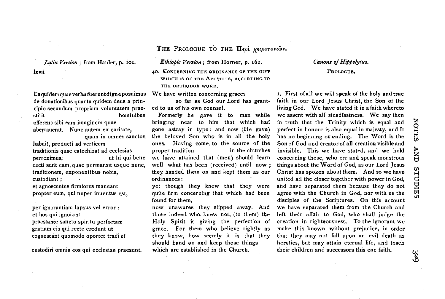2:  $251$ > 2: t:l STUDIES

<sup>~</sup>\0

THE PROLOGUE TO THE  $\Pi$ <sub>Ept</sub> *xELPOTOVLOV.* 

*Latin Version* ; from Hauler, p. 101. lxvii

Ea quidem quae verba fueruntdigne posuimus de donationibus quanta quidem dens a principio secundum propriam voluntatem praestitit hominibus offerens sibi eam imaginem quae aberrauerat. Nunc autem ex caritate,

quam in omnes sanctos. habuit, producti ad verticem traditionis quae catechizat ad ecclesias perreximus,. ut hi qui bene docti sunt eam, quae permansit usque nunc, traditionem, exponentibus nobis, custodiant ;

et agnoscentes firmiores maneant propter eum, qui nuper inuentus est,

per ignorantiam lapsus vel error : et hos qui ignorant praestante sancto spiritu perfoctam gratiam eis qui recte credunt ut cognoscant quomodo oportet tradi et

custodiri omnia eos qui ecclesiae praesunt.

*Ethiopic Version*; from Horner, p. 162.

40. CONCERNING THE ORDINANCE OF THF. GIFT WHICH IS OF THE APOSTLES, ACCORDING. TO THE ORTHODOX WORD.

We have written concerning graces

so far as God our Lord has granted to us of his own counsel.

Formerly he gave it to man while bringing near to him that which had gone astray in type: and now (He gave) the beloved Son who is in all the holy ones. Having come, to the source of the proper tradition in the churches we have attained that (men) should learn well what has been (received) until now ; they handed them on and kept them as our ordinances :

yet though they knew that they were quite firm concerning that which had been found for them,

now unawares they slipped away. And those indeed who knew not, (to them) the Holy Spirit is giving the perfection of grace. For them who believe rightly as they know, how seemly it is that they should hand on and keep those things which are established in the Church.

*Canons of Hippolytus.* 

PROLOGUE,

I. First of all we will speak of the holy and true faith in our Lord Jesus Christ, the Son of the living God. We have stated it in a faith whereto we assent with all steadfastness. We say then in truth that the Trinity which is equal and perfect in honour is also equal in majesty, and It has no beginning or ending. The Word is the Son of God and creator of all creation visible and invisible. This we have stated, and we hold concerning those, who err and speak monstrous things about the Word of God, as our Lord Jesus Christ has spoken about them. And so we have united all the closer together with power in God, and have separated them because they do not agree with the Church in God, nor with us the disciples of the Scriptures. On this account we have separated them from the Church and left their affair to God, who shall judge the creation in righteousness. To the ignorant we make this known without prejudice, in order that they may not fall upon an evil death as heretics, but may attain eternal life, and teach their children and successors this one faith.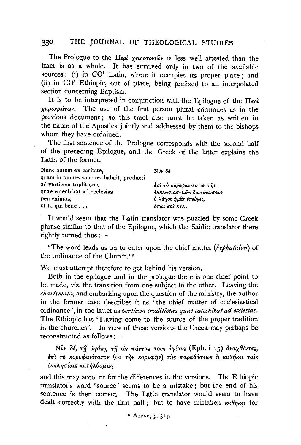The Prologue to the  $\Pi \epsilon \rho \lambda \chi \epsilon \rho \rho \sigma \sigma \nu \omega \omega \nu$  is less well attested than the tract is as a whole. It has survived only in two of the available sources: (i) in CO<sup>1</sup> Latin, where it occupies its proper place; and (ii) in CO<sup>1</sup> Ethiopic, out of place, being prefixed to an interpolated section concerning Baptism.

It is to be interpreted in conjunction with the Epilogue of the  $\text{If } \epsilon \rho \lambda$ *xapwp.&.rwv.* The use of the first person plural continues as in the previous document; so this tract also must be taken as written in the name of the Apostles jointly and addressed by them to the bishops whom they have ordained.

The first sentence of the Prologue corresponds with the second half of the preceding Epilogue, and the Greek of the latter explains the Latin of the former.

| Nunc autem ex caritate,                | $\mathbf{N} \hat{\mathbf{v}}$ $\mathbf{v}$ $\mathbf{\delta} \hat{\mathbf{c}}$ |
|----------------------------------------|-------------------------------------------------------------------------------|
| quam in omnes sanctos habuit, producti |                                                                               |
| ad verticem traditionis                | έπι το κορυφαιότατον της                                                      |
| quae catechizat ad ecclesias           | έκκλησιαστικής διατυπώσεως                                                    |
| perreximus.                            | δ λόγος ήμας έπείγει,                                                         |
| ut hi qui bene                         | δπως και κτλ.                                                                 |

It would seem that the Latin translator was puzzled by some Greek phrase similar to that of the Epilogue, which the Saidic translator there rightly turned thus  $:=$ 

'The word leads us on to enter upon the chief matter *(kephalaion)* of the ordinance of the Church.' a

We must attempt therefore to get behind his version.

Both in the epilogue and in the prologue there is one chief point to be made, viz. the transition from one subject to the other. Leaving the *chan'smata,* and embarking upon the question of the ministry, the author in the former case describes it as 'the chief matter of ecclesiastical ordinance', in the latter as *verticem traditionis quae catechizat ad ecclesias.*  The Ethiopic has 'Having come to the source of the proper tradition in the churches'. In view of these versions the Greek may perhaps be reconstructed as follows:-

Nົ<sup>y</sup> δέ, τη άγάπη τη είς πάντας τους άγίους (Eph. i 15) αναχθέντες,  $t^2$ τι το *κορυφαιότατον* (or *την κορυφην*) της παραδόσεως η καθήκει ταίς εκκλησίαις κατήλθομεν,

and this may account for the differences in the versions. The Ethiopic translator's word 'source' seems to be a mistake; but the end of his sentence is then correct. The Latin translator would seem to have dealt correctly with the first half; but to have mistaken  $\kappa a \theta \eta \kappa \epsilon \iota$  for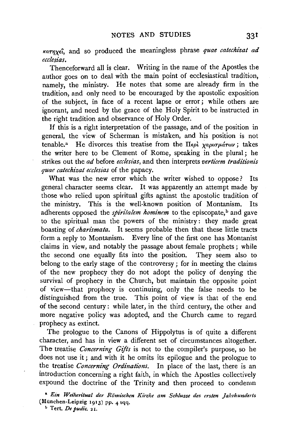*KaT1Jx£i,* and so produced the meaningless phrase *quae calechizat ad ecclesias.* 

Thenceforward all is clear. Writing in the name of the Apostles the author goes on to deal with the main point of ecclesiastical tradition, namely, the ministry. He notes that some are already firm in the tradition, and only need to be encouraged by the apostolic exposition of the subject, in face of a recent lapse or error; while others are ignorant, and need by the grace of the Holy Spirit to be instructed in the right tradition and observance of Holy Order.

If this is a right interpretation of the passage, and of the position in general, the view of Scherman is mistaken, and his position is not tenable.<sup>a</sup> He divorces this treatise from the  $\Pi_{\epsilon}$  *yapurprovi*; takes the writer here to be Clement of Rome, speaking in the plural; he strikes out the *ad* before *ecclesias,* and then interprets *verticem traditionis quae calechizat ecclesias* of the papacy.

What was the new error which the writer wished to oppose? Its general character seems clear. It was apparently an attempt made by those who relied upon spiritual gifts against the apostolic tradition of the ministry. This is the well-known position of Montanism. Its adherents opposed the *spirilalem hominem* to the episcopate.<sup>b</sup> and gave to the spiritual man the powers of the ministry : they made great boasting of *charismata*. It seems probable then that these little tracts form a reply to Montanism. Every line of the first one has Montanist claims in view, and notably the passage about female prophets; while the second one equally fits into the position. They seem also to belong to the early stage of the controversy; for in meeting the claims of the new prophecy they do not adopt the policy of denying the survival of prophecy in the Church, but maintain the opposite point of view-that prophecy is continuing, only the false needs to be distinguished from the true. This point of view is that of the end of the second century: while later, in the third century, the other and more negative policy was adopted, and the Church came to regard prophecy as extinct.

The prologue to the Canons of Hippolytus is of quite a different character, and has in view a different set of circumstances altogether. The treatise *Concerning Gifts* is not to the compiler's purpose, so he does not use it; and with it he omits its epilogue and the prologue to the treatise *Concerning Ordinations.* In place of the last, there is an introduction concerning a right faith, in which the Apostles collectively expound the doctrine of the Trinity and then proceed to condemn

& *Ein Weiheritual der Romischen Kirche am Schlusse des ersten ]alu·hunderts*  (München-Leipzig 1913) pp. 4 sqq.

b Tert. *De pudic.* 21.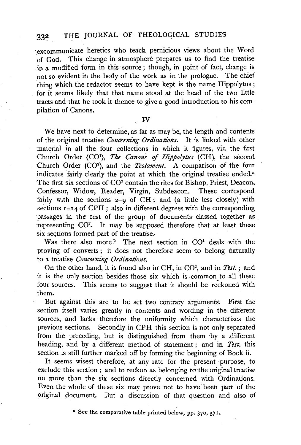·excommunicate heretics who teach pernicious views about the Word of God. This change in atmosphere prepares us to find the treatise in a modified form in this source ; though, in point of fact, change is not so evident in the body of the work as in the prologue. The chief thing which the redactor seems to have kept is the name Hippolytus; for it seems likely that that name stood at the head of the two little tracts and that he took it thence to give a good introduction to his compilation of Canons.

### , IV

We have next to determine, as far as may be, the length and contents of the original treatise *Concerning Ordinations.* It is linked with other material in all the four collections in which it figures, viz. the first Church Order (C01 ), *The Canons of Hippolytus* (CH), the second Church Order (C02 ), and the *Testament.* A comparison of the four indicates fairly clearly the point at which the original treatise ended.<sup>a</sup> The first six sections of CO<sup>1</sup> contain the rites for Bishop, Priest, Deacon, Confessor, Widow, Reader, Virgin, Subdeacon. These correspond fairly with the sections  $2-\rho$  of CH; and (a little less closely) with sections  $r-14$  of CPH; also in different degrees with the corresponding passages in the test of the group of documents classed together as representing C02 • It may be supposed therefore that at least these six sections formed part of the treatise.

Was there also more? The next section in  $CO<sup>1</sup>$  deals with the proving of converts ; it does not therefore seem to belong naturally to a treatise *Concerning Ordinations.* 

On the other hand, it is found also in CH, in  $CO<sup>2</sup>$ , and in *Test.*; and it is the only section besides those six which is common to all these four sources. This seems to suggest that it should be reckoned with them.

But against this are to be set two contrary arguments. First the section itself varies greatly in contents and wording in the different sources, and lacks therefore the uniformity which characterizes the previous sections. Secondly in CPH this section is not only separated from the preceding, but is distinguished from them ·by a different heading, and by a different method of statement ; and in *Test.* this section is still further marked off by forming the beginning of Book ii.

It seems wisest therefore, at any rate for the present purpose, to exclude this section; and to reckon as belonging to the original treatise no more than the six sections directly concerned with Ordinations. Even the whole of these six may. prove not to have been part of the original document. But a discussion of that question and also of

\* See the comparative table printed below, pp. 370, 371.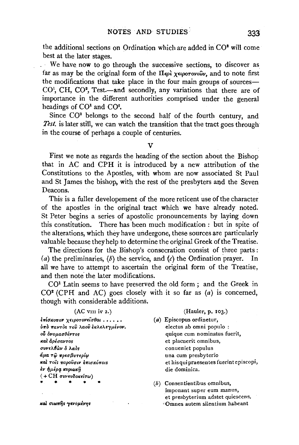the additional sections on Ordination which are added in CO<sup>2</sup> will come best at the later stages.

. We have now to go through the successive sections, to discover as far as may be the original form of the  $\Pi_{\epsilon}$  *x* $\epsilon_{\epsilon}$ *iorori* $\omega_{\epsilon}$ , and to note first the modifications that take place in the four main groups of sources-CO<sup>1</sup>, CH, CO<sup>2</sup>, Test.—and secondly, any variations that there are of importance in the different authorities comprised under the general headings of CO<sup>1</sup> and CO<sup>2</sup>.

Since CO<sup>2</sup> belongs to the second half of the fourth century, and Test. is later still, we can watch the transition that the tract goes through in the course of perhaps a couple of centuries.

 $\overline{\mathbf{V}}$ 

First we note as regards the heading of the section about the Bishop that in AC and CPH it is introduced by a new attribution of the Constitutions to the Apostles, with whom are now associated St Paul and St James the bishop, with the rest of the presbyters and the Seven Deacons.

This is a fuller developement of the more reticent use of the character of the apostles in the original tract which we have already noted. St Peter begins a series of apostolic pronouncements by laying down this constitution. There has been much modification: but in spite of the alterations, which they have undergone, these sources are particularly valuable because they help to determine the original Greek of the Treatise.

The directions for the Bishop's consecration consist of three parts: (a) the preliminaries, (b) the service, and (c) the Ordination prayer. In all we have to attempt to ascertain the original form of the Treatise, and then note the later modifications.

 $CO<sup>1</sup>$  Latin seems to have preserved the old form; and the Greek in  $CO<sup>2</sup>$  (CPH and AC) goes closely with it so far as  $(a)$  is concerned, though with considerable additions.

| $(AC$ vIII iv 2.)                                  |
|----------------------------------------------------|
| <del>ίπίσκοπον</del> χειροτονεῖσθαι . <b>. .</b> . |
| ύπὸ παντὸς τοῦ λαοῦ ἐκλελεγμένον.                  |
| ού όνομασθέντος                                    |
| καὶ ἀρέσαντος                                      |
| συνελθών δ λαδς                                    |
| ίμα τῷ πρεσβυτερίφ                                 |
| καὶ τοῖs παροῦσιν ἐπισκόποιs                       |
| έν ήμέρα κυριακῆ                                   |
| (+ CH συνευδοκείτω)                                |
|                                                    |

(Hauler, p. 103.)

- (a) Episcopus ordinetur, electus ab omni populo: quique cum nominatus fuerit, et placuerit omnibus, conueniet populus una cum presbyterio et his qui praesentes fuerint episcopi, die dominica.
- $(b)$  Consentientibus omnibus, imponant super eum manus, et presbyterium adstet quiescens. Omnes autem silentium habeant

και σιωπής γενομένης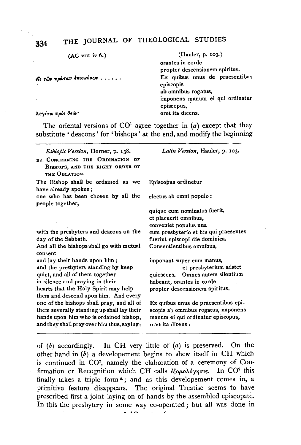| $(AC \text{ vIII} \text{ iv } 6.)$ | (Hauler, p. 103.)                                                  |
|------------------------------------|--------------------------------------------------------------------|
|                                    | orantes in corde<br>propter descensionem spiritus.                 |
| ίζε τῶν πρώτων ἐπισκόπων           | Ex quibus unus de praesentibus<br>episcopis<br>ab omnibus rogatus, |
|                                    | imponens manum ei qui ordinatur<br>episcopus,                      |
| λεγέτω πρὸς θεόν·                  | oret ita dicens.                                                   |

The oriental versions of  $CO<sup>1</sup>$  agree together in (a) except that they substitute ' deacons ' for 'bishops ' at the end, and modify the beginning

| Latin Version, Hauler, p. 103.                                                                                                                            |
|-----------------------------------------------------------------------------------------------------------------------------------------------------------|
|                                                                                                                                                           |
| Episcopus ordinetur                                                                                                                                       |
| electus ab omni populo:                                                                                                                                   |
| quique cum nominatus fuerit,<br>et placuerit omnibus,<br>conveniet populus una                                                                            |
| cum presbyterio et his qui praesentes<br>fuerint episcopi die dominica.                                                                                   |
| Consentientibus omnibus,                                                                                                                                  |
| imponant super eum manus,<br>et presbyterium adstet<br>Omnes autem silentium<br>quiescens.<br>habeant, orantes in corde<br>propter descensionem spiritus. |
| Ex quibus unus de praesentibus epi-<br>scopis ab omnibus rogatus, imponens<br>manum ei qui ordinatur episcopus,<br>oret ita dicens :                      |
|                                                                                                                                                           |

of  $(b)$  accordingly. In CH very little of  $(a)$  is preserved. On the other hand in  $(b)$  a developement begins to shew itself in CH which is continued in  $CO<sup>2</sup>$ , namely the elaboration of a ceremony of Confirmation or Recognition which CH calls  $\partial^2$ <sub>6</sub>  $\rho$ . In CO<sup>2</sup> this finally takes a triple form<sup>a</sup>; and as this developement comes in, a primitive feature disappears. The original Treatise seems to have prescribed first a joint laying on of hands by the assembled episcopate. In this the presbytery in some way co-operated; but all was done in

 $\overline{a}$  $\sim$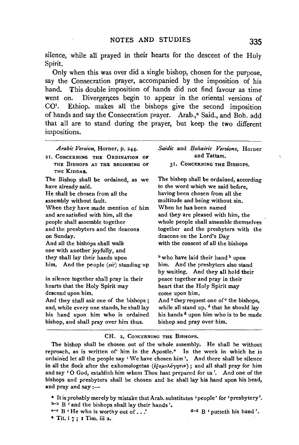silence, while all prayed in their hearts for the descent of the Holy Spirit.

Only when this was over did a single bishop, chosen for the purpose, say the Consecration prayer, accompanied by the imposition of his hand. This double imposition of hands did not find favour as time went on. Divergences begin to appear in the oriental versions of  $CO<sup>1</sup>$ . Ethiop. makes all the bishops give the second imposition of hands and say the Consecration prayer. Arab.,<sup>a</sup> Said., and Boh. add that all are to stand during the prayer, but keep the two different impositions.

| Saidic and Bohairic Versions, Horner<br>and Tattam.<br>31. CONCERNING THE BISHOPS.                                                                                                                                                                                                              |
|-------------------------------------------------------------------------------------------------------------------------------------------------------------------------------------------------------------------------------------------------------------------------------------------------|
| The bishop shall be ordained, according<br>to the word which we said before,<br>having been chosen from all the<br>multitude and being without sin.<br>When he has been named                                                                                                                   |
| and they are pleased with him, the<br>whole people shall assemble themselves<br>together and the presbyters with the<br>deacons on the Lord's Day<br>with the consent of all the bishops.                                                                                                       |
| <sup>b</sup> who have laid their hand <sup>b</sup> upon<br>him. And the presbyters also stand<br>by waiting. And they all hold their                                                                                                                                                            |
| peace together and pray in their<br>heart that the Holy Spirit may<br>come upon him.<br>And <sup>c</sup> they request one of <sup>c</sup> the bishops,<br>while all stand up, <sup>d</sup> that he should lay<br>his hands <sup>d</sup> upon him who is to be made<br>bishop and pray over him. |
|                                                                                                                                                                                                                                                                                                 |

### CH. 2, CONCERNING THE BISHOPS.

The bishop shall be chosen out of the whole assembly. He shall be without reproach, as is written of him in the Apostle.<sup>6</sup> In the week in which he is ordained let all the people say 'We have chosen him'. And there shall be silence in all the flock after the exhomologetas ( $\ell \epsilon \omega \omega \Delta \gamma \gamma \sigma \omega$ ); and all shall pray for him and say '0 God, establish him whom Thou hast prepared for us'. And one of the bishops and presbyters shall be chosen and he shall lay his hand upon his head, and pray and say  $:-$ 

• It is probably merely by mistake that Arab. substitutes 'people' for 'presbytery '· b-b B 'and the bishops shall lay their hands '•  $e^{-c}$  B ' He who is worthy out of . . '  $d-d$  B ' putteth his hand'.

 $\bullet$  Tit. i  $\tau$ ; I Tim. iii 2.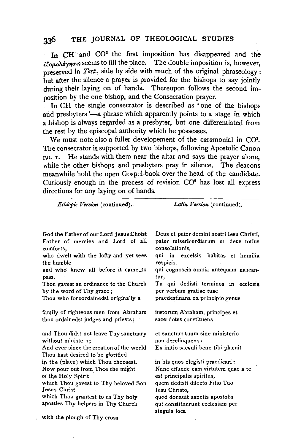In CH and  $CO<sup>2</sup>$  the first imposition has disappeared and the  $\epsilon$ *ξερμολόγησι*s seems to fill the place. The double imposition is, however, preserved in *Test.*, side by side with much of the original phraseology: but after the silence a prayer is provided for the bishops to say jointly during their laying on of hands. Thereupon follows the second imposition by the one bishop, and the Consecration prayer.

In CH the single consecrator is described as 'one of the bishops and presbyters '—a phrase which apparently points to a stage in which a bishop is always regarded as a presbyter, but one differentiated from the rest by the episcopal authority which he possesses.

We must note also a fuller developement of the ceremonial in CO<sup>2</sup>. The consecrator is. supported by two bishops, following Apostolic Canon no. I. He stands with them near the altar and says the prayer alone, while the other bishops and presbyters pray in silence. The deacons meanwhile hold the open Gospel-book over the head of the candidate. Curiously enough in the process of revision CO' has lost all express directions for any laying on of hands.

| Ethiopic Version (continued).                                                 | Latin Version (continued).                      |
|-------------------------------------------------------------------------------|-------------------------------------------------|
|                                                                               |                                                 |
| God the Father of our Lord Jesus Christ                                       | Deus et pater domini nostri Iesu Christi,       |
| Father of mercies and Lord of all                                             | pater misericordiarum et deus totius            |
| comforts,                                                                     | consolationis.                                  |
| who dwelt with the lofty and yet sees                                         | qui in excelsis habitas et humilia              |
| the humble                                                                    | respicis,                                       |
| and who knew all before it came to                                            | qui cognoscis omnia antequam nascan-            |
| pass.                                                                         | tur,                                            |
| Thou gavest an ordinance to the Church                                        | Tu qui dedisti terminos in ecclesia             |
| by the word of Thy grace;                                                     | per verbum gratiae tuae                         |
| Thou who foreordainedst originally a                                          | praedestinans ex principio genus                |
| family of righteous men from Abraham                                          | iustorum Abraham, principes et                  |
| thou ordainedst judges and priests;                                           | sacerdotes constituens                          |
| and Thou didst not leave Thy sanctuary                                        | et sanctum tuum sine ministerio                 |
| without ministers;                                                            | non derelinquens:                               |
| And ever since the creation of the world<br>Thou hast desired to be glorified | Ex initio saeculi bene tibi placuit             |
| in the (place) which Thou choosest.                                           | in his quos elegisti praedicari:                |
| Now pour out from Thee the might                                              | Nunc effunde eam virtutem quae a te             |
| of the Holy Spirit                                                            | est principalis spiritus,                       |
| which Thou gavest to Thy beloved Son                                          | quem dedisti dilecto Filio Tuo                  |
| Jesus Christ                                                                  | Iesu Christo,                                   |
| which Thou grantest to us Thy holy                                            | quod donauit sanctis apostolis                  |
| apostles Thy helpers in Thy Church                                            | qui constituerunt ecclesiam per<br>singula loca |
| with the plough of Thy cross                                                  |                                                 |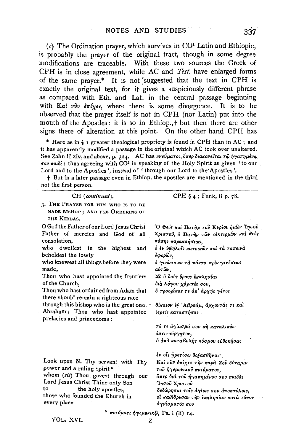(c) The Ordination prayer, which survives in  $CO<sup>1</sup>$  Latin and Ethiopic, is probably the prayer of the original tract, though in some degree modifications are traceable. With these two sources the Greek of CPH is in close agreement, while AC and *Test.* have enlarged forms of the same prayer.\* It is not suggested that the text in  $\overline{CPH}$  is exactly the original text, for it gives a suspiciously different phrase as compared with Eth. and Lat. in the central passage beginning with Kai vvv  $\epsilon \pi i_{\chi \epsilon \epsilon}$ , where there is some divergence. It is to be observed that the prayer itself is not in CPH (nor Latin) put into the mouth of the Apostles: it is so in Ethiop., + but then there are other signs there of alteration at this point. On the other hand CPH has

\* Here as in § I greater theological propriety is found in CPH than in AC ; and it has apparently modified a passage in the original which AC took over unaltered. See Zahn II xiv, and above, p. 324. AC has πνεύματος, Όπερ διακονείται τω ήγαπημένω  $\sigma$ ov  $\pi a_0$ i: thus agreeing with CO<sup>1</sup> in speaking of the Holy Spirit as given 'to our Lord and to the Apostles', instead of 'through our Lord to the Apostles'.

t But in. a later passage even in Ethiop. the apostles are mentioned in the third not the first person.

| $CH$ (continued).                                                                                                                                      | CPH $\S$ 4; Funk, ii p. 78.                                                                       |
|--------------------------------------------------------------------------------------------------------------------------------------------------------|---------------------------------------------------------------------------------------------------|
| 3. THE PRAYER FOR HIM WHO IS TO BE<br>MADE BISHOP; AND THE ORDERING OF<br>THE KIDDAS.                                                                  |                                                                                                   |
| O God the Father of our Lord Jesus Christ                                                                                                              | Ό Θεύς καὶ Πατήρ τοῦ Κυρίου ἡμῶν Ἰησοῦ                                                            |
| Father of mercies and God of all<br>consolation.                                                                                                       | Χριστού, ό Πατήρ τῶν οἰκτιρμῶν καὶ θεὸς<br>πάσης παρακλήσεως,                                     |
| who<br>dwellest in the highest and<br>beholdest the lowly                                                                                              | ό εν ύψηλοῖs κατοικῶν καὶ τὰ ταπεινὰ<br>ἐφορῶν,                                                   |
| who knewest all things before they were<br>made.                                                                                                       | δ γινώσκων τὰ πάντα πρὶν γενέσεως<br>αὐτῶν.                                                       |
| Thou who hast appointed the frontiers                                                                                                                  | Σὺ ὁ δοὺs ὅρουs ἐκκλησίαs                                                                         |
| of the Church,                                                                                                                                         | διά λόγου χάριτός σου,                                                                            |
| Thou who hast ordained from Adam that<br>there should remain a righteous race                                                                          | δ προορίσας τε άπ' άρχῆς γένος                                                                    |
| through this bishop who is the great one, $\cdot$ δίκαιον ες 'Αβραάμ, άρχοντάς τε καί<br>Abraham: Thou who hast appointed<br>prelacies and princedoms: | ίερεῖs κατασ <b>τή</b> σαs .                                                                      |
|                                                                                                                                                        | τό τε άγίασμά σου μή καταλιπὼν<br>άλειτούργητον,                                                  |
|                                                                                                                                                        | ό άπό καταβολής κόσμου εύδοκήσας                                                                  |
|                                                                                                                                                        | έν οίς ηρετίσω δοξασθήναι                                                                         |
| Look upon N. Thy servant with Thy<br>power and a ruling spirit <sup>a</sup>                                                                            | Καὶ νῦν ἐπίχεε τὴν παρὰ Σοῦ δύναμιν<br>τοῦ ἡγεμονικοῦ πνεύματος,                                  |
| whom (sit) Thou gavest through our<br>Lord Jesus Christ Thine only Son                                                                                 | όπερ διά του ήγαπημένου σου παιδός                                                                |
| to<br>the holy apostles,                                                                                                                               | 'Ιησοῦ Χριστοῦ                                                                                    |
| those who founded the Church in<br>every place                                                                                                         | δεδώρησαι τοιs άγίοιs σου άποστόλοιs,<br>οι καθίδρυσαν την εκκλησίαν κατά τόπον<br>άγιάσματός σου |
| πνεύματι ήγεμονικώ, Ps. 1 (li) 14.                                                                                                                     |                                                                                                   |
| VOL. XVI.<br>z                                                                                                                                         |                                                                                                   |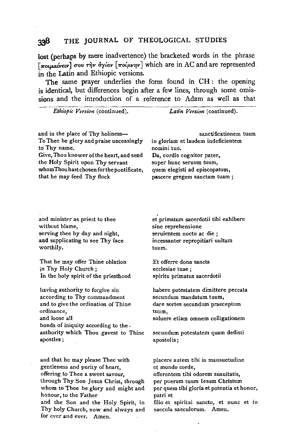lost (perhaps by mere inadvertence) the bracketed words in the phrase  $\lceil \frac{\pi}{2} \sigma \omega \Delta x \rangle$  ov  $\tau \gamma v$   $\dot{\alpha} \gamma$  ( $\alpha v$   $\lceil \frac{\pi}{2} \sigma \omega v \rangle$  which are in AC and are represented in the Latin and Ethiopic versions.

The same prayer underlies the form found in CH: the opening is identical, but differences begin after a few lines, through some omissions and the introduction of a reference to Adam as well as that

*Ethiopic Version* (continued). and in the place of Thy holiness-To Thee be glory and praise unceasingly to Thy name. Give, Thou knower of the heart, and send the Holy Spirit upon Thy servant whom Thou hast chosen for the pontificate, that he may feed Thy flock and minister as priest to thee without blame, serving thee by day and night, and supplicating to see Thy face worthily. That he may offer Thine oblation in Thy Holy Church ; In the holy spirit of the priesthood having authority to forgive sin according to Thy commandment and to give the ordination of Thine ordinance, and loose all bonds of iniquity according to the. authority which Thou gavest to Thine apostles; and that he may please Thee with gentleness and purity of heart, offering to Thee a sweet savour, through Thy Son Jesus Christ, through whom to Thee be glory and might and honour, to the Father *Latin Version* (continued). sanctificationem tuam in gloriam et laudem indeficientem nomini tuo. Da, cordis cognitor pater, super hunc seruum tuum, quem elegisti ad episcopatum, pascere gregem sanctam tuam ; et primatum sacerdotii tibi exhibere sine reprehensione seruientem noctu ac die ; incessanter repropitiari uultum tuum. Et offerre dona sancta ecclesiae tuae ; spiritu primatus sacerdotii habere potestatem dimittere peccata secundum mandatum tuum, dare sortes secundum praeceptum tuum, soluere etiam omnem colligationem secundum potestatem quam dedisti apostolis; placere autem tibi in mansuetudine et mundo corde, offerentem tibi odorem suauitatis, per puerum tuum Iesum Christum per quem tibi gloria et potentia et honor, patri et

and the Son and the Holy Spirit, in Thy holy Church, now and always and for ever and ever. Amen.

filio et spiritui sancto, et nunc et in saecula saeculorum. Amen.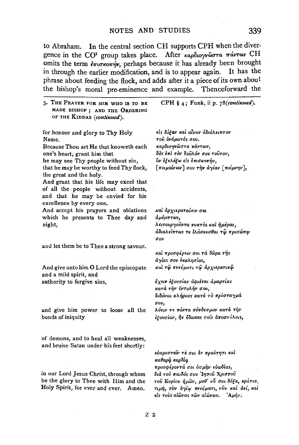to Abraham. In the central section CH supports CPH when the divergence in the CO<sup>1</sup> group takes place. After καρδιογνώστα πάντων CH omits the term  $\epsilon \pi u \sigma \kappa \sigma \pi \gamma \nu$ , perhaps because it has already been brought in through the earlier modification, and is to appear again. It has the<br>phrase about feeding the flock, and adds after it a piece of its own about the bishop's moral pre-eminence and example. Thenceforward the

| 3. THE PRAYER FOR HIM WHO IS TO BE<br>MADE BISHOP ; AND THE ORDERING<br>OF THE KIDDAS (continued).                                                                                                                                                                                                                                                                                | CPH § 4; Funk, ii p. 78(continued).                                                                                                                                                                                                                        |
|-----------------------------------------------------------------------------------------------------------------------------------------------------------------------------------------------------------------------------------------------------------------------------------------------------------------------------------------------------------------------------------|------------------------------------------------------------------------------------------------------------------------------------------------------------------------------------------------------------------------------------------------------------|
| for honour and glory to Thy Holy<br>Name.<br>Because Thou art He that knoweth each<br>one's heart, grant him that<br>he may see Thy people without sin,<br>that he may be worthy to feed Thy flock,<br>the great and the holy.<br>And grant that his life may excel that<br>of all the people without accidents,<br>and that he may be envied for his<br>excellence by every one. | είς δόξαν και αίνον αδιάλειπτον<br>του ονόματός σου.<br>καρδιογνώστα πάντων,<br>δός έπι τον δούλόν σου τούτον,<br>δν ἐξελέξω εἰς ἐπισκοπήν,<br>[ποιμαίνειν] σου την άγίαν [ποίμνην],                                                                       |
| And accept his prayers and oblations<br>which he presents to Thee day and<br>night,                                                                                                                                                                                                                                                                                               | καὶ ἀρχιερατεύειν σοι<br>αμέμπτως,<br>λειτουργούντα νυκτός και ήμέρας,<br>άδιαλείπτως τε ίλάσκεσθαι τω προσώπω<br>σου                                                                                                                                      |
| and let them be to Thee a strong savour.                                                                                                                                                                                                                                                                                                                                          | και προσφέρειν σοι τα δώρα της<br>άγίαs σου έκκλησίαs,                                                                                                                                                                                                     |
| And give unto him O Lord the episcopate<br>and a mild spirit, and                                                                                                                                                                                                                                                                                                                 | καὶ τῷ πνεύματι τῷ ἀρχιερατικῷ                                                                                                                                                                                                                             |
| authority to forgive sins,                                                                                                                                                                                                                                                                                                                                                        | ἔχειν ἐξουσίαν ἀφιέναι ἁμαρτίαs<br>κατά την έντολήν σου,<br>διδόναι κλήρους κατά τὸ πρόσταγμά<br>σου,                                                                                                                                                      |
| and give him power to loose all the<br>bonds of iniquity                                                                                                                                                                                                                                                                                                                          | λύειν τε πάντα σύνδεσμον κατά τὴν<br>εξουσίαν, ήν έδωκας τοις αποστόλοις,                                                                                                                                                                                  |
| of demons, and to heal all weaknesses,<br>and bruise Satan under his feet shortly:                                                                                                                                                                                                                                                                                                |                                                                                                                                                                                                                                                            |
| in our Lord Jesus Christ, through whom<br>be the glory to Thee with Him and the<br>Holy Spirit, for ever and ever. Amen.                                                                                                                                                                                                                                                          | εὐαρεστεῖν τέ σοι ἐν πραότητι καὶ<br>καθαρŷ καρδία<br>προσφέροντά σοι όσμήν εὐωδίας,<br>διά του παιδός σου 'Ιησού Χριστού<br>τοῦ Κυρίου ἡμῶν, μεθ' οῧ σοι δόξα, κράτος,<br>τιμή, σύν αγίω πνεύματι, νθν και αεί, και<br>είς τους αίώνας τών αίώνων. 'Αμήν. |

339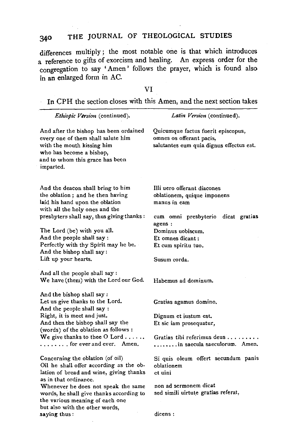differences multiply; the most notable one is that which introduces a reference to gifts of exorcism and healing. An express order for the congregation to say 'Amen' follows the prayer, which is found also in an enlarged form in AC.

VI

| In CPH the section closes with this Amen, and the next section takes                                                                                                                   |                                                                                                            |
|----------------------------------------------------------------------------------------------------------------------------------------------------------------------------------------|------------------------------------------------------------------------------------------------------------|
| Ethiopic Version (continued).                                                                                                                                                          | Latin Version (continued).                                                                                 |
| And after the bishop has been ordained<br>every one of them shall salute him<br>with the mouth kissing him<br>who has become a bishop,<br>and to whom this grace has been<br>imparted. | Quicumque factus fuerit episcopus,<br>omnes os offerant pacis,<br>salutantes eum quia dignus effectus est. |
| And the deacon shall bring to him<br>the oblation; and he then having<br>laid his hand upon the oblation<br>with all the holy ones and the                                             | Illi uero offerant diacones<br>oblationem, quique imponens<br>manus in eam                                 |
| presbyters shall say, thus giving thanks:                                                                                                                                              | cum omni presbyterio dicat gratias<br>agens:                                                               |
| The Lord (be) with you all.                                                                                                                                                            | Dominus uobiscum.                                                                                          |
| And the people shall say :                                                                                                                                                             | Et omnes dicant :                                                                                          |
| Perfectly with thy Spirit may he be.                                                                                                                                                   | Et cum spiritu tuo.                                                                                        |
| And the bishop shall say:                                                                                                                                                              |                                                                                                            |
| Lift up your hearts.                                                                                                                                                                   | Susum corda.                                                                                               |
| And all the people shall say:                                                                                                                                                          |                                                                                                            |
| We have (them) with the Lord our God.                                                                                                                                                  | Habemus ad dominum.                                                                                        |
| And the bishop shall say:                                                                                                                                                              |                                                                                                            |
| Let us give thanks to the Lord.                                                                                                                                                        | Gratias agamus domino.                                                                                     |
| And the people shall say :                                                                                                                                                             |                                                                                                            |
| Right, it is meet and just.                                                                                                                                                            | Dignum et iustum est.                                                                                      |
| And then the bishop shall say the                                                                                                                                                      | Et sic iam prosequatur,                                                                                    |
| (words) of the oblation as follows:                                                                                                                                                    |                                                                                                            |
| We give thanks to thee $O$ Lord                                                                                                                                                        | Gratias tibi referimus deus                                                                                |
| $\ldots \ldots$ for ever and ever. Amen.                                                                                                                                               | in saecula saeculorum. Amen.                                                                               |
| Concerning the oblation (of oil)                                                                                                                                                       | Si quis oleum offert secundum panis                                                                        |
| Oil he shall offer according as the ob-                                                                                                                                                | oblationem                                                                                                 |
| lation of bread and wine, giving thanks                                                                                                                                                | et uini                                                                                                    |
| as in that ordinance.                                                                                                                                                                  |                                                                                                            |
| Whenever he does not speak the same                                                                                                                                                    | non ad sermonem dicat                                                                                      |
| words, he shall give thanks according to                                                                                                                                               | sed simili uirtute gratias referat,                                                                        |
| the various meaning of each one                                                                                                                                                        |                                                                                                            |
| but also with the other words,                                                                                                                                                         | dicens:                                                                                                    |
| saying thus:                                                                                                                                                                           |                                                                                                            |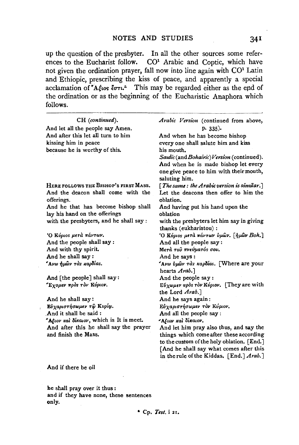up the question of the presbyter. In all the other sources some references to the Eucharist follow. CO<sup>1</sup> Arabic and Coptic, which have not given the ordination prayer, fall now into line again with CO<sup>1</sup> Latin and Ethiopic, prescribing the kiss of peace, and apparently a special acclamation of  $A_{\xi\omega s}$  is  $\sigma\tau\mu^a$  This may be regarded either as the end of the ordination or as the beginning of the Eucharistic Anaphora which follows.

| CH (continued).                                  | Arabic Version (continued from above,                                                            |
|--------------------------------------------------|--------------------------------------------------------------------------------------------------|
| And let all the people say Amen.                 | p.335.                                                                                           |
| And after this let all turn to him               | And when he has become bishop                                                                    |
| kissing him in peace                             | every one shall salute him and kiss                                                              |
| because he is worthy of this.                    | his mouth.                                                                                       |
|                                                  | Saudic (and Bohairic) Version (continued).                                                       |
|                                                  | And when he is made bishop let every<br>one give peace to him with their mouth,<br>saluting him. |
| HERE FOLLOWS THE BISHOP'S FIRST MASS.            | $\lceil$ The same $:$ the Arabic version is similar. $\rceil$                                    |
| And the deacon shall come with the<br>offerings. | Let the deacons then offer to him the<br>oblation.                                               |
| And he that has become bishop shall              | And having put his hand upon the                                                                 |
| lay his hand on the offerings                    | oblation                                                                                         |
| with the presbyters, and he shall say:           | with the presbyters let him say in giving                                                        |
|                                                  | thanks (eukharistou):                                                                            |
| 'Ο Κύριος μετά πάντων.                           | 'Ο Κύριος μετά πάντων ὑμῶν. [ήμῶν Βοh.]                                                          |
| And the people shall say:                        | And all the people say:                                                                          |
| And with thy spirit.                             | Μετά τοῦ πνεύματός σου.                                                                          |
| And he shall say:                                | And he says :                                                                                    |
| '' Ανω ήμων τας καρδίας.                         | 'Aνω ύμων τας καρδίας. [Where are your<br>hearts Arab.                                           |
| And [the people] shall say:                      | And the people say:                                                                              |
| "Έχομεν πρός τον Κύριον.                         | Εύχωμεν πρός τὸν Κύριον. [They are with<br>the Lord Arab.]                                       |
| And he shall say:                                | And he says again:                                                                               |
| Εύχαριστήσωμεν τω Κυρίφ.                         | Εύχαριστήσωμεν τον Κύριον.                                                                       |
| And it shall be said:                            | And all the people say:                                                                          |
| "Aftov και δίκαιον, which is It is meet.         | "Αξιον καὶ δίκαιον.                                                                              |
| And after this he shall say the prayer           | And let him pray also thus, and say the                                                          |
| and finish the Mass.                             | things which come after these according                                                          |
|                                                  | to the custom of the holy oblation. [End.]                                                       |
|                                                  | [And he shall say what comes after this                                                          |
|                                                  | in the rule of the Kiddas. $[End.]$ Arab.]                                                       |
|                                                  |                                                                                                  |

And if there be oil

he shall pray over it thus : and if they have none, these sentences only.

• Cp. *Test.* i 21.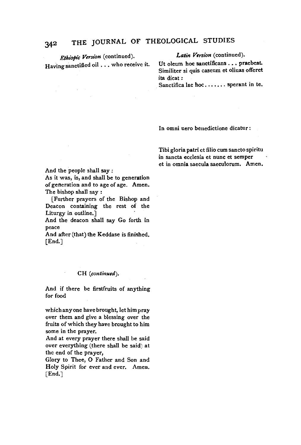*Ethiopic Version* (continued). Having sanctified oil . . . who receive it.

#### *Latin Version* (continued).

Ut oleum hoc sanctificans . . . praebeat. Similiter si quis caseum et oliuas offeret ita dicat:

Sanctifica lac hoc...... sperant in te.

In omni uero beuedictione dicatur :

Tibi gloria patri et filio cum sancto spiritu in sancta ecclesia et nunc et semper et in omnia saecula saeculorum. Amen.

And the people shall say :

As it was, is, and shall be to generation of generation and to age of age. Amen. The bishop shall say :

[Further prayers of the Bishop and Deacon containing the rest of the Liturgy in outline.]

And the deacon shall say Go forth in peace

And after (that) the Keddase is finished. [End.]

#### CH *(continued).*

And if there be firstfruits of anything for food

which any one have brought, let him pray over them and give a blessing over the fruits of which they have brought to him some in the prayer.

And at every prayer there shall be said over everything (there shall be said) at the end of the prayer,

Glory to Thee, 0 Father and Son and Holy Spirit for ever and ever. Amen.  $[End.]$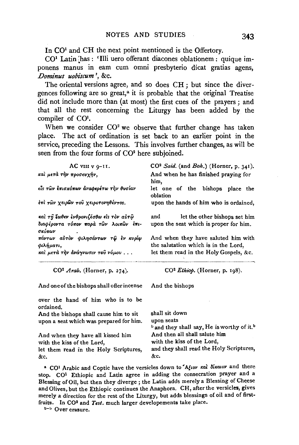In CO<sup>1</sup> and CH the next point mentioned is the Offertory.

CO<sup>1</sup> Latin has: 'Illi uero offerant diacones oblationem: quique imponens manus in eam cum omni presbyterio dicat gratias agens. Dominus uobiscum'. &c.

The oriental versions agree, and so does CH : but since the divergences following are so great,<sup>a</sup> it is probable that the original Treatise did not include more than (at most) the first cues of the prayers : and that all the rest concerning the Liturgy has been added by the compiler of CO<sup>1</sup>.

When we consider  $CO<sup>2</sup>$  we observe that further change has taken place. The act of ordination is set back to an earlier point in the service, preceding the Lessons. This involves further changes, as will be seen from the four forms of CO<sup>2</sup> here subjoined.

| AC VIII v 9-11.                                                                           | $CO2$ Said. (and Boh.) (Horner, p. 341).                                        |
|-------------------------------------------------------------------------------------------|---------------------------------------------------------------------------------|
| καὶ μετὰ τὴν προσευχήν,                                                                   | And when he has finished praying for<br>him.                                    |
| εἶς τῶν ἐπισκόπων ἀναφερέτω τὴν θυσίαν                                                    | let one of the bishops place the<br>oblation                                    |
| έπὶ τῶν χειρῶν τοῦ χειροτονηθέντος.                                                       | upon the hands of him who is ordained.                                          |
| καὶ τῆ ἔωθεν ἐνθρονιζέσθω εἰς τὸν αὐτῷ<br>διαφέροντα τόπον παρά τῶν λοιπῶν ἐπι-<br>σκόπων | and<br>let the other bishops set him<br>upon the seat which is proper for him.  |
| πάντων αὐτὸν φιλησάντων τῷ ἐν κυρίφ<br>φιλήματι,                                          | And when they have saluted him with<br>the salutation which is in the Lord,     |
| καὶ μετὰ τὴν ἀνάγνωσιν τοῦ νόμου                                                          | let them read in the Holy Gospels, &c.                                          |
| $CO2 Arab$ . (Horner, p. 274).                                                            | $CO2 Ethiop.$ (Horner, p. 198).                                                 |
| And one of the bishops shall offer incense                                                | And the bishops                                                                 |
| over the hand of him who is to be<br>ordained.                                            |                                                                                 |
| And the bishops shall cause him to sit                                                    | shall sit down                                                                  |
| upon a seat which was prepared for him.                                                   | upon seats<br><sup>b</sup> and they shall say, He is worthy of it. <sup>b</sup> |
| And when they have all kissed him                                                         | And then all shall salute him                                                   |
| with the kiss of the Lord,                                                                | with the kiss of the Lord,                                                      |
| let them read in the Holy Scriptures,<br>&c.                                              | and they shall read the Holy Scriptures,<br>&c.                                 |
|                                                                                           |                                                                                 |

<sup>a</sup> CO<sup>1</sup> Arabic and Coptic have the versicles down to "Aftov Kal dikatov and there stop. CO<sup>1</sup> Ethiopic and Latin agree in adding the consecration prayer and a Blessing of Oil, but then they diverge ; the Latin adds merely a Blessing of Cheese and Olives, but the Ethiopic continues the Anaphora. CH, after the versicles, gives merely a direction for the rest of the Liturgy, but adds blessings of oil and of firstfruits. In CO<sup>2</sup> and Test. much larger developements take place.

b-b Over erasure.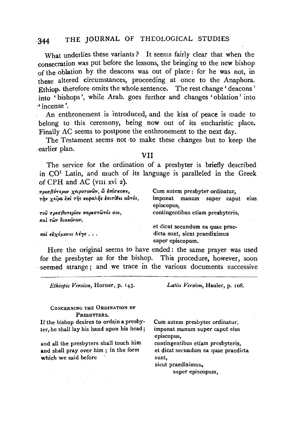What underlies these variants ? It seems fairly clear that when the consecration was put' before the lessons, the bringing to the new bishop of the oblation by the deacons was out of place : for he was not, in these altered circumstances, proceeding at once to the Anaphora. Ethiop. therefore omits the whole sentence. The rest change ' deacons ' into 'bishops', while Arab. goes further and changes 'oblation' into ·• incense'.

An enthronement is introduced, and the kiss of peace is made to belong to this ceremony, being now out of its eucharistic place. Finally AC seems to postpone the enthronement to the next day.

The Testament seems not ·to make these changes but to keep the -earlier plan. VII

## The service for the ordination of a presbyter is briefly described in  $CO<sup>1</sup>$  Latin, and much of its language is paralleled in the Greek of CPH and AC (vIII xvi 2).

\_1tpta{31n-<pov xttporovwv, *<L* E1tlf1K01f<, την χείρα έπι της κεφαλής επιτίθει αυτός,

**ToV** *7rpEU/3VT£piov* **71UpEUTfiJT6s am,**  Ka~ *TWv l),aK6vwv.* 

Cum autem presbyter ordinatur, imponat manum super caput eius episcopus, contingentibus etiam presbyteris,

et dicat secundum ea quae prae· και εύχόμενος λέγε...<br>dicta sunt, sicut praediximus super episcopum,

Here the original seems to have ended: the same prayer was used for the presbyter as for the bishop. This procedure, however, soon -seemed strange; and we trace in the various documents successive

*Ethiopic Version,* Horner, p. 143.

Latin Version, Hauler, p. 108.

#### CoNCERNING THE ORDINATION OF PRESBYTERS.

If the bishop desires to ordain a presby· ter, he shall lay his hand upon his head;

and all the presbyters shall touch him and shall pray over him ; in the form which we said before

Cum autem presbyter ordinatur, imponat manum super caput eius episcopus, contingentibus etiam presbyteris, et dicat secundum ea quae praedicta sunt, sicut praediximus,

super episcopum,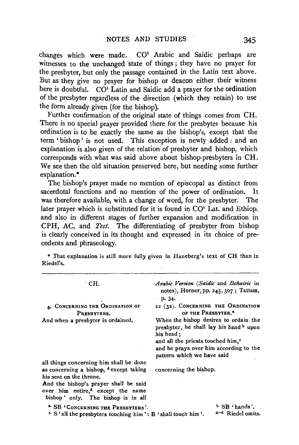changes which were made. C01 Arabic and Saidic perhaps are witnesses to the unchanged state of things; they have no prayer for the presbyter, but only the passage contained in the Latin text above. But as they give no prayer for bishop or deacon either their witness here is doubtful.  $CO<sup>1</sup>$  Latin and Saidic add a prayer for the ordination of the presbyter regardless of the direction (which they retain) to use the form already given (for the bishop).

Further confirmation of the original state of things comes from CH. There is no special prayer provided there for the presbyter because his ordination is to be exactly the same as the bishop's, except that the term 'bishop' is not used. This exception is newly added : and an explanation is also given of the relation of presbyter and bishop, which corresponds with what was said above about bishop-presbyters in CH. We see then the old situation preserved here, but needing some further explanation.\*

The bishop's prayer made no mention of episcopal as distinct from sacerdotal functions and no mention of the power of ordination. It was therefore available, with a change of word, for the presbyter. The later prayer which is substituted for it is found in  $CO<sup>1</sup>$  Lat. and Ethiop. and also in different stages of further expansion and modification in CPH, AC, and *Test.* The differentiating of presbyter from bishop is clearly conceived in its thought and expressed in its choice of precedents and phraseology.

"' That explanation is still more fully given in Haneberg's text of CH than in Riedel's.

·CH.

### 4• CONCERNING THE ORDINATION OF PRESBYTERS.

And when a presbyter is ordained,

*Arabic Version (Saidic* and *Bohairic* in notes), Horner, pp. 245, 307 ; Tattam, p. 34·

22 (32). CONCERNING THE ORDINATION OF THE PRESBYTER.<sup>8</sup>

When the bishop desires to ordain the presbyter, he shall lay his hand <sup>b</sup> upon his head;

and all the priests touched him,<sup>c</sup>

and he prays over him according to the pattern which we have said

concerning the bishop.

all things concerning him shall be done as concerning a bishop, d except taking his seat on the throne.

And the bishop's prayer shall be said over  $him$  entire,<sup>d</sup> except the name bishop ' only. The bishop is in all

• SB 'CoNCERNING THE PRESBYTERS'.

 $\circ$  S 'all the presbyters touching him': B 'shall touch him'.

**b** SB 'hands'. d-d Riedel omits.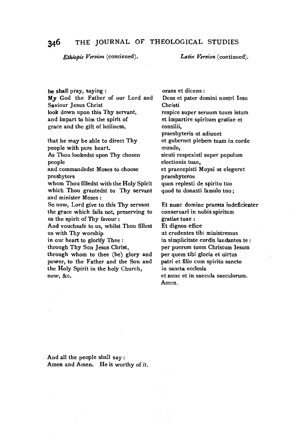*Ethiopic Version* (continued).

*Latin Version* (continued).

he shall pray, saying : My God the Father of our Lord and Saviour Jesus Christ look down upon this Thy servant, and impart to him the spirit of grace and the gift of holiness,

that he may be able to direct Thy people with pure heart. As Thou lookedst upon Thy chosen

people and commandedst Moses to choose

presbyters

whom Thou filledst with the Holy Spirit which Thou grantedst to Thy servant and minister Moses :

So now, Lord give to this Thy servant the grace which fails not, preserving to us the spirit of Thy favour :

And vouchsafe to us, whilst Thou fillest us with Thy worship

in our heart to glorify Thee :

through Thy Son Jesus Christ,

through whom to thee (be) glory and power, to the Father and the Son and the Holy Spirit in the holy Church, now, &c.

orans et dicens : Dens et pater domini nostri Iesu Christi respice super seruum tuum istum et impartire spiritum gratiae et consilii, praesbyteris ut adiuuet et gubernet plebem tuam in corde mundo, sicuti respexisti super populum electionis tuae, et praecepisti Moysi ut elegeret praesbyteros quos replesti de spiritu tuo quod tu donasti famulo tuo;

Et nunc domine praesta indeficienter conseruari in nobis spiritum gratiae tuae : Et dignos effice ut credentes tibi ministremus in simplicitate cordis laudantes te: per puerum tuum Christum Iesum per quem tibi gloria et uirtus patri et filio cum spiritu sancto in sancta ecclesia et nunc et in saecula saeculorum. Amen.

And all the people shall say : Amen and Amen. He is worthy of it.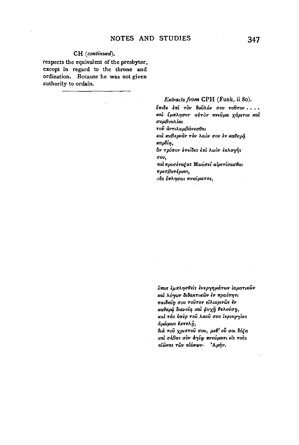### CH (continued),

respects the equivalent of the presbyter. except in regard to the throne and ordination. Because he was not given authority to ordain.

#### Extracts from CPH (Funk, ii 80).

 $\vec{\epsilon}$ πιδε έπι τον δούλόν σου τούτον.... καί έμπλησον αύτον πνεύμα γάριτος καί συμβουλίας

του άντιλαμβάνεσθαι

και κυβερναν τον λαόν σου έν καθαρά καρδία,

δν τρόπον έπείδες έπι λαόν εκλογής σου.

και προσέταξας Μωϋσεί αίρετίσασθαι πρεσβυτέρους,

ούς έπλησας πνεύματος,

όπως έμπλησθείς ένεργημάτων ιαματικών καί λόγων διδακτικών έν πραότητι παιδεύη σου τούτον είλικρινώς έν καθαρά διανοία και ψυχή θελούση, καί τας υπέρ του λαού σου ιερουργίας άμώμως έκτελη,

διά του χριστου σου, μεθ' ού σοι δόξα και σέβας σύν άγίω πνεύματι είς τους αίωνας των αίώνου. 'Αμήν.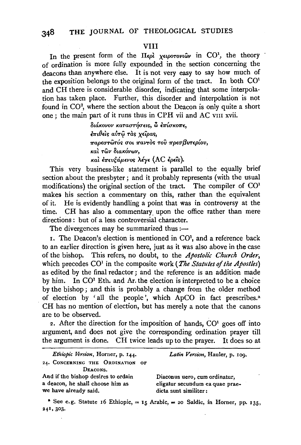### **VIII**

In the present form of the  $\Pi \epsilon \rho \lambda \chi \epsilon \varphi \sigma \tau \circ \nu \omega \omega \nu$  in CO<sup>1</sup>, the theory of ordination is more fully expounded in the section concerning the deacons than anywhere else. It is not very easy to say how much of the exposition belongs to the original form of the tract. In both CO<sup>1</sup> and CH there is considerable disorder, indicating that some interpolation has taken place. Further, this disorder and interpolation is not found in CO<sup>2</sup>, where the section about the Deacon is only quite a short one ; the main part of it runs thus in CPH vii and AC vIII xvii.

> διάκονον καταστήσεις, ω επίσκοπε, επιθείς αύτω τάς χείρας, παρεστώτός σοι παντός του πρεσβυτερίου, καὶ τῶν διακόνων, και επευξάμενος λέγε (AC ερείς).

This very business-like statement is parallel to the equally brief section about the presbyter; and it probably represents (with the usual modifications) the original section of the tract. The compiler of CO<sup>1</sup> makes his section a commentary on this, rather than the equivalent He is evidently handling a point that was in controversy at the of it. CH has also a commentary upon the office rather than mere time. directions: but of a less controversial character.

The divergences may be summarized thus :-

1. The Deacon's election is mentioned in CO<sup>1</sup>, and a reference back to an earlier direction is given here, just as it was also above in the case of the bishop. This refers, no doubt, to the Apostolic Church Order, which precedes CO<sup>1</sup> in the composite work (*The Statutes of the Apostles*) as edited by the final redactor; and the reference is an addition made by him. In CO<sup>1</sup> Eth. and Ar. the election is interpreted to be a choice by the bishop; and this is probably a change from the older method of election by 'all the people', which ApCO in fact prescribes.<sup>a</sup> CH has no mention of election, but has merely a note that the canons are to be observed.

2. After the direction for the imposition of hands, CO<sup>1</sup> goes off into argument, and does not give the corresponding ordination prayer till the argument is done. CH twice leads up to the prayer. It does so at

| Ethiopic Version, Horner, p. 144.   | Latin Version, Hauler, p. 109.  |
|-------------------------------------|---------------------------------|
| 24. CONCERNING THE ORDINATION OF    |                                 |
| DEACONS.                            |                                 |
| And if the bishop desires to ordain | Diaconus uero, cum ordinatur.   |
| a deacon, he shall choose him as    | eligatur secundum ea quae prae- |
| we have already said.               | dicta sunt similiter:           |
|                                     |                                 |

\* See e.g. Statute 16 Ethiopic, = 15 Arabic, = 20 Saidic, in Horner, pp. 135, 241, 303.

 $348$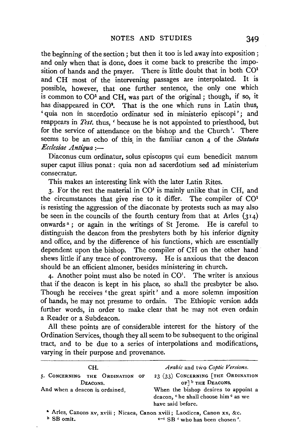the beginning of the section; but then it too is led away into exposition; and only when that is done, does it come back to prescribe the imposition of hands and the prayer. There is little doubt that in both  $CO<sup>1</sup>$ and CH most of the intervening passages are interpolated. It is possible, however, that one further sentence, the only one which is common to  $CO<sup>1</sup>$  and CH, was part of the original; though, if so, it has disappeared in CO<sup>2</sup>. That is the one which runs in Latin thus, ' quia non in sacerdotio ordinatur sed in ministerio episcopi'; and reappears in *Test.* thus, ' because he is not appointed to priesthood, but for the service of attendance on the bishop and the Church'. There seems to be an echo of this in the familiar canon 4 of the *Statuta* Ecclesiae Antiqua :-

Diaconus cum ordinatur, solus episcopus qui eum benedicit manum super caput illius ponat : quia non ad sacerdotium sed ad ministerium consecratur.

This makes an interesting link with the later Latin Rites.

3· For the rest the material in C01 is mainly unlike that in CH, and the circumstances that give rise to it differ. The compiler of C01 is resisting the aggression of the diaconate by protests such as may also be seen in the councils of the fourth century from that at Arles  $(314)$ onwards<sup>a</sup>; or again in the writings of St Jerome. He is careful to distinguish the deacon from the presbyters both by his inferior dignity and office, and by the difference of his functions, which are essentially dependent upon the bishop. The compiler of CH on the other hand shews little if any trace of controversy. He is anxious that the deacon should be an efficient almoner, besides ministering in church.

4· Another point must also be noted in CO'. The writer is anxious that if the deacon is kept in his place, so shall the presbyter be also. Though he receives 'the great spirit' and a more solemn imposition of hands, he may not presume to ordain. The Ethiopic version adds further words, in order to make clear that he may not even ordain a Reader or a Subdeacon.

All these points are of considerable interest for the history of the Ordination Services, though they all seem to be subsequent to the original tract, and to be due to a series of interpolations and modifications, varying in their purpose and provenance.

| CH.                                                                                                | Arabic and two Coptic Versions.                                                                                                                                                          |
|----------------------------------------------------------------------------------------------------|------------------------------------------------------------------------------------------------------------------------------------------------------------------------------------------|
| 5. CONCERNING THE ORDINATION OF<br>DEACONS.<br>And when a deacon is ordained,                      | 23 (33) CONCERNING THE ORDINATION<br>$or$ ] $b$ the Deacons.<br>When the bishop desires to appoint a<br>deacon, <sup>o</sup> he shall choose him <sup>o</sup> as we<br>have said before. |
| * Arles, Canons xv, xviii ; Nicaea, Canon xviii ; Laodicea, Canon xx, &c.<br><sup>b</sup> SB omit. | e-c SB ' who has been chosen'.                                                                                                                                                           |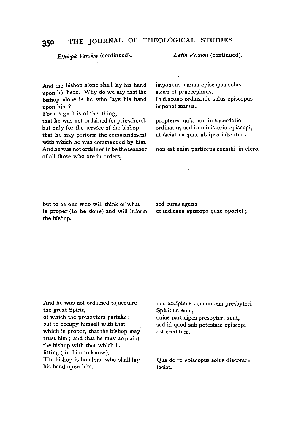### *Ethiopic Version* (continued).

*Latin Version* (continued).

And the bishop alone shall lay his hand upon his head. Why do we say that the bishop alone is he who lays his hand upon him?

For a sign it is of this thing,

that he was not ordained for priesthood, but only for the service of the bishop, that he may perform the commandment with which he was commanded by him. And he was not ordained to be the teacher of all those who are in orders,

imponens manus episcopus solus sicuti et praecepimus. In diacono ordinando solus episcopus imponat manus,

propterea quia non in sacerdotio ordinatur, sed in ministerio episcopi, ut faciat ea quae ab ipso iubentur:

non est enim particeps consilii in clero,

but to be one who will think of what is proper (to be done) and will inform the bishop.

sed curas agens et indicans episcopo quae oportet;

And he was not ordained to acquire the great Spirit,

of which the presbyters partake ; but to occupy himself with that which is proper, that the bishop may trust him ; and that he may acquaint the bishop with that which is fitting (for him to know). The bishop is he alone who shall lay

his hand upon him.

non accipiens communem presbyteri Spiritum eum, cuius participes presbyteri sunt, sed id quod sub potestate episcopi est creditum.

Qua de re episcopus solus diaconurn faciat.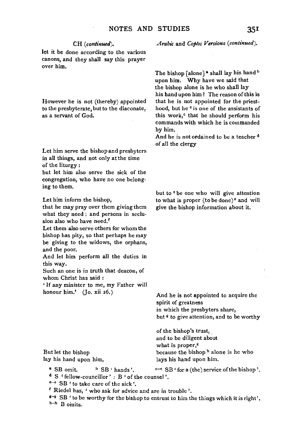#### CH *(continued).*

let it be done according to the various canons, and they shall say this prayer over him.

However he is not (thereby) appointed to the presbyterate, but to the diaconate, as a servant of God.

Let him serve the bishop and presbyters in all things, and not only at the time of the liturgy :

but let him also serve the sick of the congregation, who have no one belonging to them.

Let him inform the bishop,

that he may pray over them giving them what they need : and persons in seclusion also who have need.'

Let them also serve others for whom the bishop has pity, so that perhaps he may be giving to the widows, the orphans, and the poor.

And let him perform all the duties in this way.

Such an one is in truth that deacon, of whom Christ has said :

'If any minister to me, my Father will honour him.' (Jo. xii 26.)

*Arabic* and *Coptzc Versions (continued).* 

The bishop [alone]<sup>8</sup> shall lay his hand<sup>b</sup> upon him. Why have we said that the bishop alone is he who shall lay his hand upon him? The reason of this is that he is not appointed for the priesthood, but he <sup>c</sup> is one of the assistants of this work,<sup>c</sup> that he should perform his commands with which he is commanded by him.

And he is not ordained to be a teacher d of all the clergy

but to <sup>e</sup> be one who will give attention to what is proper (to be done) • and will give the bishop information about it.

And he is not appointed to acquire the spirit of greatness in which the presbyters share, but  $\epsilon$  to give attention, and to be worthy

of the bishop's trust, and to be diligent about what is proper, $g$ because the bishop h alone is he who Jays his hand upon him.

But let the bishop lay his hand upon him,

**a** SB omit. b SB ' hands'.  $\circ$  - $\circ$  SB ' for a (the) service of the bishop'.

 $dS$  'fellow-councillor' : B ' of the counsel'.

•-• SB ' to take care of the sick'.

' Riedel has, ' who ask for advice and are in trouble '.

 $e^{-e}$  SB ' to be worthy for the bishop to entrust to him the things which it is right'.<br> $h-h$  B omits.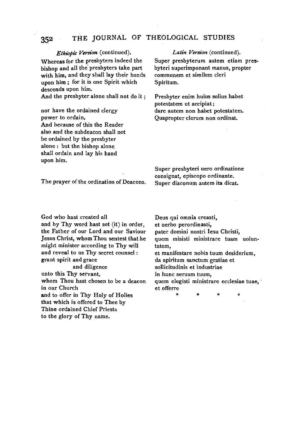### *Ethiop1'c V#rsion* (continued).

Whereas for the presbyters indeed the bishop and all the· presbyters take part with him, and they shall lay their hands upon him ; for it is one Spirit which descends upon him.

And the presbyter alone shall not do it ;

nor have the ordained clergy power to ordain.

And because of this the Reader also and the subdeacon shall not be ordained by the presbyter alone : but the bishop alone. shall ordain and lay his hand upon him.

God who hast created all

### *Latin Version* (continued).

Super presbyterum autem etiam presbyteri superimponant manus, propter communem et similem cleri Spiritum.

Presbyter enim huius solius habet potestatem ut accipiat; dare autem non habet potestatem. Quapropter clerum non ordinat.

The prayer of the ordination of Deacons.

Super presbyteri uero ordinatione consignat, episcopo ordinante. Super diaconum autem ita dicat.

and by Thy word hast set (it) in order, the Father of our Lord and our Saviour Jesus Christ, whom Thou sentest that he might minister according to Thy will and reveal to us Thy secret counsel : grant spirit and grace and diligence unto this Thy servant, whom Thou hast chosen to be a deacon in our Church and to offer in Thy Holy of Holies that which is offered to Thee by Thine ordained Chief Priests to the glory of Thy name.

Deus qui omnia creasti, et uerbo perordinasti, pater domini nostri Iesu Christi, quem misisti ministrare tuam uoluntatem, et manifestare nobis tuum desiderium, da spiritum sanctum gratiae et sollicitudinis et industriae in hunc seruum tuum, quem elegisti ministrare ecclesiae tuae, et offerre \* \* \*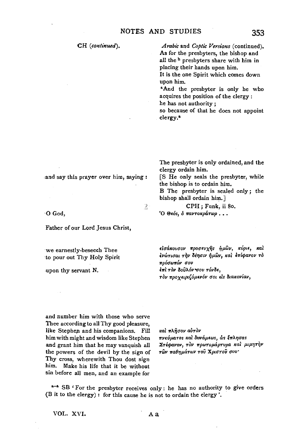### CH (continued).

Arabic and Coptic Versions (continued). As for the presbyters, the bishop and all the <sup>h</sup> presbyters share with him in placing their hands upon him. It is the one Spirit which comes down

upon him.

"And the presbyter is only he who acquires the position of the clergy:

he has not authority;

clergy ordain him.

 $\mathcal{Z}$ 

so because of that he does not appoint clergy.<sup>8</sup>

and say this prayer over him, saying :

[S He only seals the presbyter, while the bishop is to ordain him. B The presbyter is sealed only; the

bishop shall ordain him.]

The presbyter is only ordained, and the

Father of our Lord Jesus Christ,

we earnestly-beseech Thee to pour out Thy Holy Spirit

upon thy servant N.

O God.

CPH; Funk, ii 80. <sup>'</sup>Ο Θεός, δ παντοκράτωρ...

είσάκουσον προσευχής ήμων, κύριε, και ένώτισαι την δέησιν ήμων, και επίφανον το πρόσωπόν σου έπι τον δούλόν σου τόνδε, τον προχειριζόμενόν σοι είς διακονίαν,

and number him with those who serve Thee according to all Thy good pleasure, like Stephen and his companions. Fill him with might and wisdom like Stephen and grant him that he may vanquish all the powers of the devil by the sign of Thy cross, wherewith Thou dost sign him. Make his life that it be without sin before all men, and an example for

καί πλήσον αύτον πνεύματος και δυνάμεως, ως έπλησας Στέφανον, τον πρωτομάρτυρα και μιμητήν τών παθημάτων του Χριστού σου·

a-a SB 'For the presbyter receives only : he has no authority to give orders (B it to the clergy): for this cause he is not to ordain the clergy'.

VOL. XVI.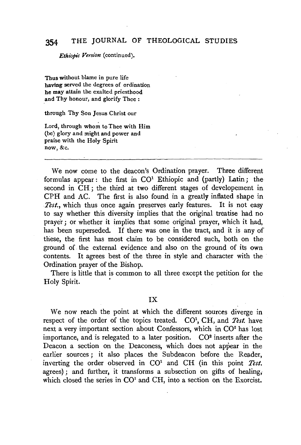#### *Ethiopic Version* (continued).

Thus without blame in pure life having served the degrees of ordination he may attain the exalted priesthood and Thy honour, and glorify Thee :

through Thy Son Jesus Christ our

Lord, through whom to Thee with Him (be) glory and might and power and praise with the Holy Spirit now, &c.

We now come to the deacon's Ordination prayer. Three different formulas appear : the first in  $CO<sup>1</sup>$  Ethiopic and (partly) Latin; the second in CH ; the third at two different stages of developement in CPH and AC. The first is also found in a greatly inflated shape in Test., which thus once again preserves early features. It is not easy to say whether this diversity implies that the original treatise had no prayer; or whether it implies that some original prayer, which it had, has been superseded. If there was one in the tract, and it is any of these, the first has most claim to be considered such, both on the ground of. the external evidence and also on the ground of its own contents. It agrees best of the three in style and character with the Ordination prayer of the Bishop.

There is little that is common to all three except the petition for the Holy Spirit.

### IX

We now reach the point at which the different sources diverge in respect of the order of the topics treated. CO<sup>1</sup>, CH, and *Test*, have next a very important section about Confessors, which in CO<sup>2</sup> has lost importance, and is relegated to a later position. CO<sup>2</sup> inserts after the Deacon a section on the Deaconess, which does not appear in the earlier sources ; it also places the Subdeacon before the Reader, inverting the order observed in C01 and CH (in this point *Test.*  agrees) ; and further, it transforms a subsection on gifts of healing, which closed the series in CO<sup>1</sup> and CH, into a section on the Exorcist.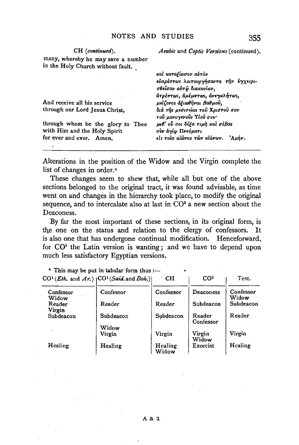).

| CH (continued).                    | Arabic and Coptic Versions (continued                           |  |  |  |  |  |  |  |
|------------------------------------|-----------------------------------------------------------------|--|--|--|--|--|--|--|
| many, whereby he may save a number |                                                                 |  |  |  |  |  |  |  |
| in the Holy Church without fault.  |                                                                 |  |  |  |  |  |  |  |
|                                    | καὶ καταξίωσον αὐτὸν                                            |  |  |  |  |  |  |  |
|                                    | εύαρέστως λειτουργήσαντα την έγχειρι<br>σθείσαν αὐτῷ διακονίαν, |  |  |  |  |  |  |  |
|                                    | άτρέπτως, άμέμπτως, άνεγκλήτως,                                 |  |  |  |  |  |  |  |
| And receive all his service        | μείζονος αξιωθήναι βαθμού,                                      |  |  |  |  |  |  |  |
| through our Lord Jesus Christ,     | διά της μεσιτείας του Χριστου σου<br>τού μονογενούς Υίου σου·   |  |  |  |  |  |  |  |
| through whom be the glory to Thee  | μεθ' οὗ σοι δόξα τιμή και σέβας                                 |  |  |  |  |  |  |  |
| with Him and the Holy Spirit       | σὺν ἁγίφ Πνεύματι                                               |  |  |  |  |  |  |  |
| for ever and ever. Amen.           | είs τοὺs alῶνas τῶν alώνων.<br>Άμήν.                            |  |  |  |  |  |  |  |
|                                    |                                                                 |  |  |  |  |  |  |  |

Alterations in the position of the Widow and the Virgin complete the list of changes in order.<sup>a</sup>

These changes seem to shew that, while all but one of the above sections belonged to the original tract, it was found advisable, as time went on and changes in the hierarchy took place, to modify the original sequence, and to intercalate also at last in CO<sup>2</sup> a new section about the Deaconess.

By far the most important of these sections, in its original form, is the one on the status and relation to the clergy of confessors. It is also one that has undergone continual modification. Henceforward, for  $CO<sup>T</sup>$  the Latin version is wanting; and we have to depend upon much less satisfactory Egyptian versions.

 $CO<sup>2</sup>$ 

 $\mathbf{r}$ 

Test

<sup>a</sup> This may be put in tabular form thus :- $CO<sup>1</sup>(Fth)$  and  $Ar \setminus (CO<sup>1</sup>(Said)$  and  $R_0h$ ) [CH]

| Confessor<br>Widow | Confessor | Confessor        | Deaconess           | Confessor<br>Widow |
|--------------------|-----------|------------------|---------------------|--------------------|
| Reader<br>Virgin   | Reader    | Reader           | Subdeacon           | Subdeacon          |
| Subdeacon          | Subdeacon | Subdeacon        | Reader<br>Confessor | Reader             |
|                    | Widow     |                  |                     |                    |
|                    | Virgin    | Virgin           | Virein<br>Widow     | Virgin             |
| Healing            | Healing   | Healing<br>Widow | Exorcist            | Healing            |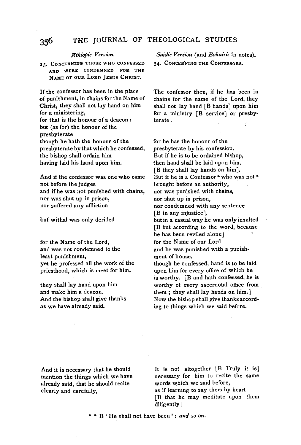#### *Ethiopic Version.*

25. CONCERNING THOSE WHO CONFESSED AND WERE CONDEMNED FOR THE NAME OF OUR LORD jESUS CHRIST.

If the confessor has been in the place of punishment, in chains for the Name of Christ, they shall not lay hand on him for a ministering, for that is the honour of a deacon : but (as for) the honour of the presbyterate though he hath the honour of the presbyterate by that which he confessed, the bishop shall ordain him having laid his hand upon him.

And if the confessor was one who came not before the judges and if he was not punished with chains, nor was shut up in prison, nor suffered any affliction

but withal was only derided

for the Name of the Lord, and was not condemned to the least punishment, yet he professed all the work of the priesthood, which is meet for him,

they shall lay hand upon him and make him a deacon. And the bishop shall give thanks as we have already said.

*Saidic Version* (and *Bohairic* in notes). 34. CONCERNING THE CONFESSORS.

The confessor then, if he has been in chains for the name of the Lord, they shall not lay hand [B hands] upon him for a ministry [B service] or presby· terate:

for he has the honour of the presbyterate by his confession. But if he is to be ordained bishop, then hand shall be laid upon him. [B they shall lay hands on him]. But if he is a Confessor<sup>a</sup> who was not<sup>a</sup> brought before an authority, nor was punished with chains, nor shut up in prison, nor condemned with any sentence [B in any injustice], but in a casual way he was only insulted [B but according to the word, because he has been reviled alone] for the Name of our Lord and he was punished with a punishment of house, though he confessed, hand is to be laid upon him for every office of which he is worthy. [B and hath confessed, he is worthy of every sacerdotal office from them ; they shall lay hands on him.] Now the bishop shall give thanks accord-

And it is necessary that he should mention the things which we have already said, that he should recite clearly and carefully,

It is not altogether [B Truly it is] necessary for him to recite the same words which we said before,

ing to things which we said before.

as if learning to say them by heart [B that he may meditate upon them diligently]

•-• B ' He shall not have been ' : *and so on.*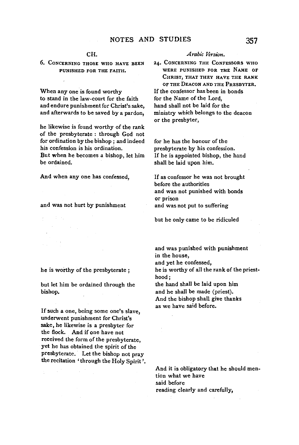### CH.

6. CoNCERNING THOSE wHo HAVE BEEN PUNISHED FOR THE FAITH.

When any one is found worthy to stand in the law-court for the faith and endure punishment for Christ's sake, and afterwards to be saved by a pardon,

he likewise is found worthy of the rank of the presbyterate : through God not for ordination by the bishop ; and indeed his confession is his ordination. But when he becomes a bishop, let him be ordained.

And when any one has confessed,

and was not hurt by punishment

he is worthy of the presbyterate ;

but let him be ordained through the bishop.

If such a one, being some one's slave, underwent punishment for Christ's sake, he likewise is a presbyter for the flock. And if one have not received the form of the presbyterate, yet he has obtained the spirit of the presbyterate. Let the bishop not pray the recitation 'through the Holy Spirit'.

### *Arabic Mrsion.*

24. CONCERNING THE CoNFESSORS WHO WERE PUNISHED FOR THE NAME OF CHRIST, THAT THEY HAVE THE RANK OF THE DEACON AND THE PRESBYTER. If the confessor has been in bonds for the Name of the Lord,

hand shall not be laid for the ministry which belongs to the deacon or the presbyter,

for he has the honour of the presbyterate by his confession. If he is appointed bishop, the hand shall be laid upon him.

If as confessor he was not brought before the authorities and was not punished with bonds or prison and was not put to suffering

but he only came to be ridiculed

and was punished with punishment in the house,

and yet he confessed,

he is worthy of all the rank of the priest· hood;

the hand shall be laid upon him and he shall be made (priest). And the bishop shall give thanks as we have said before.

And it is obligatory that he should mention what we have said before reading clearly and carefully,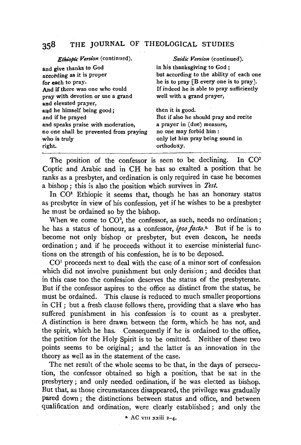| Ethiopic Version (continued).          | Saidic Version (continued).               |
|----------------------------------------|-------------------------------------------|
| and give thanks to God                 | in his thanksgiving to God;               |
| according as it is proper              | but according to the ability of each one  |
| for each to pray.                      | he is to pray $[B$ every one is to pray.  |
| And if there was one who could         | If indeed he is able to pray sufficiently |
| pray with devotion or use a grand      | well with a grand prayer,                 |
| and elevated prayer,                   |                                           |
| and he himself being good;             | then it is good.                          |
| and if he prayed                       | But if also he should pray and recite     |
| and speaks praise with moderation.     | a prayer in (due) measure,                |
| no one shall be prevented from praying | no one may forbid him :                   |
| who is truly                           | only let him pray being sound in          |
| right.                                 | orthodoxy.                                |

The position of the confessor is seen to be declining. In  $CO<sup>1</sup>$ Coptic and Arabic and in CH he has so exalted a position that he ranks as a presbyter, and ordination is only required in case he becomes a bishop; this is also the position which survives in *Test.* 

In CO<sup>1</sup> Ethiopic it seems that, though he has an honorary status as presbyter in view of his confession, yet if he wishes to be a presbyter he must be ordained so by the bishop.

When we come to  $CO<sup>2</sup>$ , the confessor, as such, needs no ordination; he has a status of honour, as a confessor, *ipso facto.* a But if he is to become not only bishop or presbyter, but even deacon, he needs ordination ; and if he proceeds without it to exercise ministerial functions on the strength of his confession, he is to be deposed.

 $CO<sup>1</sup>$  proceeds next to deal with the case of a minor sort of confession which did not involve punishment but only derision ; and decides that in this case too the confession deserves the status of the presbyterate. But if the confessor aspires to the office as distinct from the status, he must be ordained. This clause is reduced to much smaller proportions in CH ; but a fresh clause follows there, providing that a slave who has suffered punishment in his confession is to count as a presbyter. A distinction is here drawn between the form, which he has not, and the spirit, which he has. Consequently if he is ordained to the office, the petition for the Holy Spirit is to be omitted. Neither of these two points seems to be original; and the latter is an innovation in the theory as well as in the statement of the case.

The net result of the whole seems to be that, in the days of persecution, the confessor obtained so high a position, that he sat in the presbytery; and only needed ordination, if he was elected as bishop. But that, as those circumstances disappeared, the privilege was gradually pared down; the distinctions between status and office, and between qualification and ordination, were clearly established ; and only the

 $^{\circ}$  AC vIII xxiii 2-4.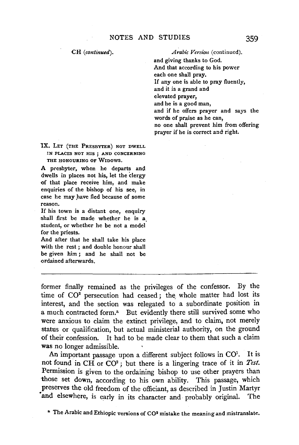#### CH *(continued).*

*Arabic Version* (continued).

and giving thanks to God.

And that according to his power

each one shall pray.

If any one is able to pray fluently,

and it is a grand and

elevated prayer,

and he is a good man,

and if he offers prayer and says the words of praise as he can, no one shall prevent him from offering

prayer if he is correct and right.

### lX, LET (THE PRESBYTER) NOT DWELL IN PLACES NOT HIS ; AND CONCERNING THE HONOURING OF WIDOWS.

A presbyter, when he departs and dwells in places not his, let the clergy of that place receive him, and make enquiries of the bishop of his see, in case he may have fled because of some reason.

If his town is a distant one, enquiry shall first be made whether he is a. student, or whether he be not a model for the priests.

And after that he shall take his place with the rest ; and double honour shall be given him ; and he shall not be ordained afterwards.

former finally remained as the privileges of the confessor. By the time of CO<sup>2</sup> persecution had ceased; the whole matter had lost its interest, and the section was relegated to a subordinate position in a much contracted form.<sup>a</sup> But evidently there still survived some who were anxious to claim the extinct privilege, and to claim, not merely status or qualification, but actual ministerial authority, on the ground of their confession. It had to be made clear to them that such a claim was no longer admissible.

An important passage upon a different subject follows in  $CO<sup>1</sup>$ . • It is not found in CH or CO<sup>2</sup>; but there is a lingering trace of it in Test. Permission is given to the ordaining bishop to use other prayers than those set down, according to his own ability. This passage, which preserves the old freedom of the officiant, as described in Justin Martyr and elsewhere, is early in its character and probably original. The

<sup>a</sup> The Arabic and Ethiopic versions of CO<sup>2</sup> mistake the meaning and mistranslate.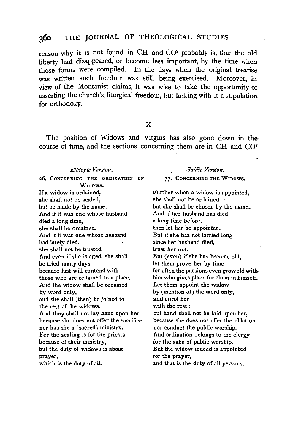reason why it is not found in CH and CO<sup>2</sup> probably is, that the old liberty had disappeared, or become less important, by the time when those forms were compiled. In the days when the original treatise was written such freedom was still being exercised. Moreover, in view of the Montanist claims, it was wise to take the opportunity of asserting the church's liturgical freedom, but linking with it a stipulation for orthodoxy.

X

The position of Widows and Virgins has also gone down in the course of time, and the sections concerning them are in CH and C0<sup>2</sup>

#### *Ethiopic Version.*

~6. CONCERNING THE ORDINATION OF W<sub>IDOWS</sub>. If a widow is ordained, she shall not be sealed, but be made by the name. And if it was one whose husband died a long time, she shall be ordained.

And if it was one whose husband had lately died, she shall not be trusted. And even if she is aged, she shall be tried many days, because lust will contend with those who are ordained to a place. And the widow shall be ordained by word only, and she shall (then) be joined to the rest of the widows.

And they shall not lay hand upon her, because she does not offer the sacrifice nor has she a (sacred) ministry. For the sealing is for the priests because of their ministry, but the duty of widows is about prayer,

which is the duty of all,

### *Saidic Version.*

37• CONCERNING THE WIDOWS.

Further when a widow is appointed, she shall not be ordained  $\cdot$ but she shall be chosen by the name-And if her husband has died a long time before, then let her be appointed. But if she has not tarried long since her husband died, trust her not. But (even) if she has become old, let them prove her by time : for often the passions even grow old withhim who gives place for them in himself. Let them appoint the widow by (mention of) the word only, and enrol her with the rest : but hand shall not be laid upon her, because she does not offer the oblation. nor conduct the public worship. And ordination belongs to the clergy for the sake of public worship. But the widow indeed is appointed for the prayer, and that is the duty of all persons.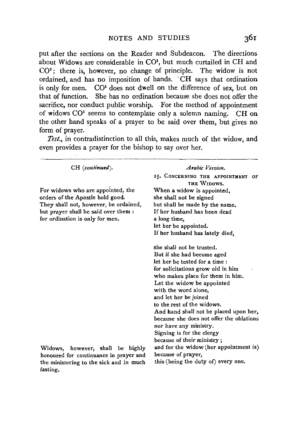put after the sections on the Reader and Subdeacon. The directions about Widows are considerable in  $CO<sup>1</sup>$ , but much curtailed in CH and  $CO<sup>2</sup>$ : there is, however, no change of principle. The widow is not ordained, and has no imposition of hands. ·CH says that ordination is only for men. C01 does not dwell on the difference of sex, but on that of function. She has no ordination because she does not offer the sacrifice, nor conduct public worship. For the method of appointment of widows C01 seems to contemplate only a solemn naming. CH on the other hand speaks of a prayer to be said over them, but gives no form of prayer.

*Test.,* in contradistinction to all this, makes much of the widow, and even provides a prayer for the bishop to say over her.

For widows who are appointed, the orders of the Apostle hold good. They shall not, however, be ordained, but prayer shall be said over them : for ordination is only for men.

CH *(continued).* 

Widows, however, shall be highly honoured for continuance in prayer and the ministering to the sick and in much fasting.

#### *Arabic Version.*

25. CONCERNING THE APPOINTMENT OF THE WIDOWS. When a widow is appointed, she shall not be signed but shall be made by the name, If her husband has been dead a long time, Jet her be appointed. If her husband has lately died,

she shall not be trusted. But if she had become aged let her be tested for a time : for solicitations grow old in him who makes place for them in him. Let the widow be appointed with the word alone, and let her be joined to the rest of the widows. And hand shall not be placed upon her, because she does not offer the oblations nor have any ministry. Signing is for the clergy because of their ministry ; and for the widow (her appointment is) because of prayer, this (being the duty of) every one.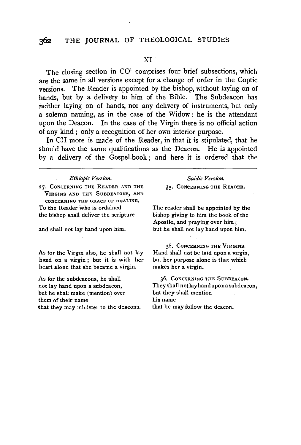#### XI

The closing section in  $CO<sup>1</sup>$  comprises four brief subsections, which are the same in all versions except for a change of order in the Coptic versions. The Reader is appointed by the bishop, without laying on of hands, but by a delivery to him of the Bible. The Subdeacon has neither laying on of hands, nor any delivery of instruments, but only a solemn naming, as in the case of the Widow : he is the attendant upon the Deacon. In the case of the Virgin there is no official action of any kind ; only a recognition of her own interior purpose.

In CH more is made of the Reader, in that it is stipulated, that he should have the same qualifications as the Deacon. He is appointed by a delivery of the Gospel-book; and here it is ordered that the

*Ethiopic Version.* 

27. CoNCERNING THE READER AND THE VIRGINS AND THE SUBDEACONS, AND CONCERNING THE GRACE OF HEALING, To the Reader who is ordained the bishop shall deliver the scripture

and shall not lay hand upon him,

As for the Virgin also, he shall not lay hand on a virgin ; but it is with her heart alone that she became a virgin.

As for the subdeacons, he shall not lay hand upon a subdeacon, but he shall make (mention) over them of their name that they may minister to the deacons.

*Saidic Version.*  35· CoNCERNING THE READER.

The reader shall be appointed by the bishop giving to him the book of the Apostle, and praying over him ; but he shall not lay hand upon him,

38. CoNcERNING THE VIRGINS. Hand shall not be laid upon a virgin, but her purpose alone is that which makes her a virgin.

36, CONCERNING THE SUBDEACON, They shall not lay hand upon a subdeacon, but they shall mention his name

that he may follow the deacon.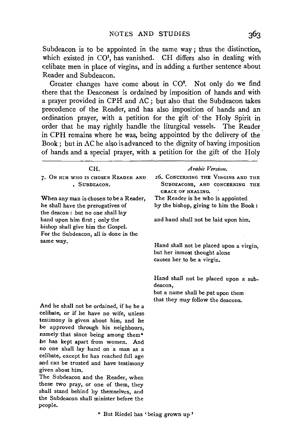Subdeacon is to be appointed in the same way; thus the distinction, which existed in CO<sup>1</sup> has vanished. CH differs also in dealing with celibate men in place of virgins, and in adding a further sentence about Reader and Subdeacon.

Greater changes have come about in  $CO<sup>2</sup>$ . Not only do we find there that the Deaconess is ordained by imposition of hands and with a prayer provided in CPH and AC; but also that the Subdeacon takes precedence of the Reader, and has also imposition of hands and an ordination prayer, with a petition for the gift of· the Holy Spirit in order that he may rightly handle the liturgical vessels. The Reader in CPH remains where he was, being appointed by the delivery of the Book; but in AChe also is advanced to the dignity of having imposition of hands and a special prayer, with a petition for the gift of the Holy

| CH.                                                                                                                                                                                                                   | Arabic Version.                                                                                                           |  |  |  |  |  |  |  |  |
|-----------------------------------------------------------------------------------------------------------------------------------------------------------------------------------------------------------------------|---------------------------------------------------------------------------------------------------------------------------|--|--|--|--|--|--|--|--|
| 7. ON HIM WHO IS CHOSEN READER AND<br>. SUBDEACON.                                                                                                                                                                    | 26. CONCERNING THE VIRGINS AND THE<br>SUBDEACONS, AND CONCERNING THE<br><b>GRACE OF HEALING.</b>                          |  |  |  |  |  |  |  |  |
| When any man is chosen to be a Reader,<br>he shall have the prerogatives of<br>the deacon: but no one shall lay                                                                                                       | The Reader is he who is appointed<br>by the bishop, giving to him the Book:                                               |  |  |  |  |  |  |  |  |
| hand upon him first; only the<br>bishop shall give him the Gospel.<br>For the Subdeacon, all is done in the                                                                                                           | and hand shall not be laid upon him.                                                                                      |  |  |  |  |  |  |  |  |
| same way.                                                                                                                                                                                                             | Hand shall not be placed upon a virgin,<br>but her inmost thought alone<br>causes her to be a virgin.                     |  |  |  |  |  |  |  |  |
|                                                                                                                                                                                                                       | Hand shall not be placed upon a sub-<br>deacon,<br>but a name shall be put upon them<br>that they may follow the deacons. |  |  |  |  |  |  |  |  |
| And he shall not be ordained, if he be a<br>celibate, or if he have no wife, unless<br>testimony is given about him, and he<br>be approved through his neighbours,<br>namely that since being among them <sup>a</sup> |                                                                                                                           |  |  |  |  |  |  |  |  |
| he has kept apart from women. And<br>no one shall lay hand on a man as a<br>celibate, except he has reached full age<br>and can be trusted and have testimony                                                         |                                                                                                                           |  |  |  |  |  |  |  |  |
| given about him.<br>The Subdeacon and the Reader, when<br>these two pray, or one of them, they<br>shall stand behind by themselves, and                                                                               |                                                                                                                           |  |  |  |  |  |  |  |  |

<sup>a</sup> But Riedel has 'being grown up'

the Subdeacon shall minister before the

people.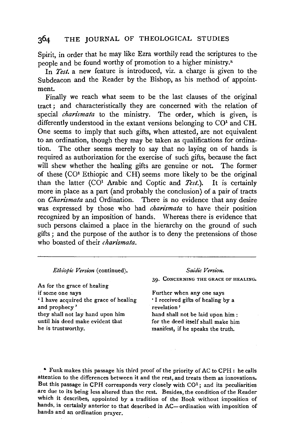Spirit, in order that he may like Ezra worthily read the scriptures to the people and be found worthy of promotion to a higher ministry.<sup>a</sup>

In *Test.* a new feature is introduced, viz. a charge is given to the Subdeacon and the Reader by the Bishop, as his method of appointment.

Finally we reach what seem to be the last clauses of the original tract ; and characteristically they are concerned with the relation of special *charismata* to the ministry. The order, which is given, is differently understood in the extant versions belonging to  $CO<sup>1</sup>$  and CH. One seems to imply that such gifts, when attested, are not equivalent to an ordination, though they may be taken as qualifications for ordination. The other seems merely to say that no laying on of hands is required as authorization for the exercise of such gifts, because the fact will shew whether the healing gifts are genuine or not. The former of these (C01 Ethiopic and CH) seems more likely to be the original than the latter (C01 Arabic and Coptic and *Test.).* It is certainly more in place as a part (and probably the conclusion) of a pair of tracts on *Charismata* and Ordination. There is no evidence that any desire was expressed by those who had *charismata* to have their position recognized by an imposition of hands. Whereas there is evidence that such persons claimed a place in the hierarchy on the ground of such gifts ; and the purpose of the author is to deny the pretensions of those who boasted of their *charismata*.

| Ethiopic Version (continued).        | Saidic Version.                      |  |  |  |  |  |  |  |  |
|--------------------------------------|--------------------------------------|--|--|--|--|--|--|--|--|
|                                      | 39. CONCERNING THE GRACE OF HEALING. |  |  |  |  |  |  |  |  |
| As for the grace of healing          |                                      |  |  |  |  |  |  |  |  |
| if some one says                     | Further when any one says            |  |  |  |  |  |  |  |  |
| I have acquired the grace of healing | 'I received gifts of healing by a    |  |  |  |  |  |  |  |  |
| and prophecy'                        | revelation'                          |  |  |  |  |  |  |  |  |
| they shall not lay hand upon him     | hand shall not be laid upon him :    |  |  |  |  |  |  |  |  |
| until his deed make evident that     | for the deed itself shall make him   |  |  |  |  |  |  |  |  |
| he is trustworthy.                   | manifest, if he speaks the truth.    |  |  |  |  |  |  |  |  |

. a Funk makes this passage his third proof of the priority of AC to CPH : he calls attention to the differences between it and the rest, and treats them as innovations. But this passage in CPH corresponds very closely with  $CO<sup>1</sup>$ ; and its peculiarities are due to its being less altered than the rest. Besides, the condition of the Reader which it describes, appointed by a tradition of the Book without imposition of hands, is certainly anterior to that described in AC-ordination with imposition of hands and an ordination prayer.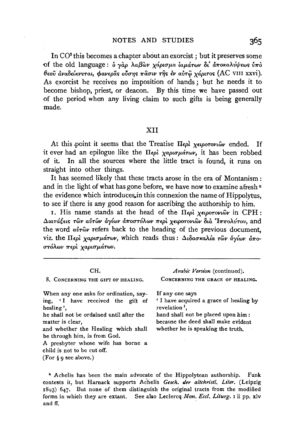In C02 this becomes a chapter about an exorcist ; but it preserves some of the old language: δ γάρ λαβών χάρισμα *ιαμάτων δι' αποκαλύψεως υπ*ό  $\theta$ εού αναδείκνυται, φανερας ούσης πασιν της εν αυτώ χάριτος (AC VIII xxvi). As exorcist he receives no imposition of hands ; but he needs it to become bishop, priest, or deacon. By this time we have passed out ·of the period when any living claim to such gifts is being generally made.

### XII

At this point it seems that the Treatise  $\Pi_{\epsilon} \rho \partial_x \chi_{\epsilon} \rho_0 \partial_x \sigma_0 \partial_y \rho_0$  ended. If it ever had an epilogue like the  $\Pi \epsilon \rho \lambda \chi a \rho \omega \sigma \mu \dot{\alpha} \tau \omega \nu$ , it has been robbed of it. In all the sources where the little tract is found, it runs on straight into other things.

It has seemed likely that these tracts arose in the era of Montanism : and in the light of what has gone before, we have now to examine afresh a the evidence which introduces, in this connexion the name of Hippolytus, to see if there is any good reason for ascribing the authorship to him.

1. His name stands at the head of the  $\Pi_{\epsilon} \rho \partial \chi_{\epsilon}$  *X* $\epsilon \rho \partial \sigma \sigma \nu \partial \omega$  in CPH : *Διατάξεις των αύτων άγίων αποστόλων περι χειροτονιων δια 'Ιππολύτου, and* the word  $a\dot{v}\tau\hat{\omega}\nu$  refers back to the heading of the previous document, viz. the Περί χαρισμάτων, which reads thus: Διδασκαλία τῶν ἀγίων ἀπο*tTT6..\wv 7r£pt xapttrp.aTWY.* 

| CH.                                                                                                                                                                                                                                                                   | Arabic Version (continued).                                                                                                                                                                |  |  |  |  |  |  |  |  |
|-----------------------------------------------------------------------------------------------------------------------------------------------------------------------------------------------------------------------------------------------------------------------|--------------------------------------------------------------------------------------------------------------------------------------------------------------------------------------------|--|--|--|--|--|--|--|--|
| 8. CONCERNING THE GIFT OF HEALING.                                                                                                                                                                                                                                    | CONCERNING THE GRACE OF HEALING.                                                                                                                                                           |  |  |  |  |  |  |  |  |
| When any one asks for ordination, say-<br>ing, 'I have received the gift of<br>healing',<br>he shall not be ordained until after the<br>matter is clear,<br>and whether the Healing which shall<br>be through him, is from God.<br>A presbyter whose wife has borne a | If any one says<br>I have acquired a grace of healing by<br>revelation'.<br>hand shall not be placed upon him:<br>because the deed shall make evident<br>whether he is speaking the truth. |  |  |  |  |  |  |  |  |
| child is not to be cut off.                                                                                                                                                                                                                                           |                                                                                                                                                                                            |  |  |  |  |  |  |  |  |

(For§ 9 see above.)

a Achelis has been the main advocate of the Hippolytean authorship. Funk contests it, but Harnack supports Ac'helis *Gesch. der altchristl. Litet·.* (Leipzig 1893) 647. But none of them distinguish the original tracts from the modified forms in which they are extant. See also Leclercq *Mon. Eccl. Liturg.* 1 ii pp. xlv and ff.  $\blacksquare$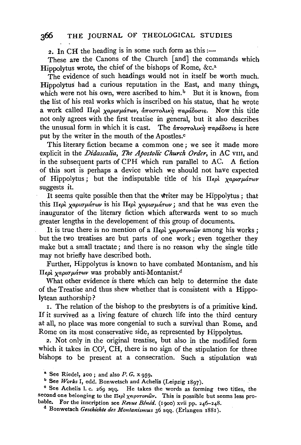2. In CH the heading is in some such form as this  $:$ --

These are the Canons of the Church [and] the commands which Hippolytus wrote, the chief of the bishops of Rome, &c.<sup>a</sup>

The evidence of such headings would not in itself be worth much. Hippolytus had a curious reputation in the East, and many things, which were not his own, were ascribed to him.<sup>b</sup> But it is known, from the list of his real works which is inscribed on his statue, that he wrote a work called  $\Pi_{\epsilon}$  *xapto párov, anooroliky mapádoois*. Now this title not only agrees with the first treatise in general, but it also describes the unusual form in which it is cast. The  $\frac{\partial \pi}{\partial \sigma}$   $\frac{\partial \phi}{\partial \sigma}$  *Tapa*. put by the writer in the mouth of the Apostles.<sup>c</sup>

This literary fiction became a common one ; we see it made more explicit in the *Didascalia, The Apostolic Church Order*, in AC vIII, and in the subsequent parts of CPH which run parallel to AC. A fiction of this sort is perhaps a device which we should not have expected of Hippolytus; but the indisputable title of his  $\Pi_{\epsilon}$  *xaptoruares* suggests it.

It seems quite possible then that the writer may be Hippolytus; that this  $\Pi \epsilon \rho \hat{i}$  *xaptoplares* is his  $\Pi \epsilon \rho \hat{i}$  *xaptoplares*; and that he was even the inaugurator of the literary fiction which afterwards went to so much greater lengths in the developement of this group of documents.

It is true there is no mention of a  $\Pi \epsilon \rho \hat{i}$  *x* $\epsilon \rho \rho \sigma \sigma \sigma \nu \hat{\omega} \nu$  among his works; but the two treatises are but parts of one work ; even together they make but a small tractate; and there is no reason why the single title may not briefly have described both.

Further, Hippolytus is known to have combated Montanism, and his II£pl *xaptup.&.rwv* was probably anti-Montanist.d

What other evidence is there which can help to determine the date of the Treatise and thus shew whether that is consistent with a Hippolytean authorship?

1. The relation of the bishop to the presbyters is of a primitive kind. If it survived as a living feature of church life into the third century at all, no place was more congenial to such a survival than Rome, and Rome on its most conservative side, as represented by Hippolytus.

2. Not only in the original treatise, but also in the modified form which it takes in  $CO<sup>t</sup>$ , CH, there is no sign of the stipulation for three bishops to be present at a consecration. Such a stipulation was

 $^*$  See Riedel, 200; and also P. G. x 959.

<sup>&</sup>lt;sup>b</sup> See *Works* I, edd. Bonwetsch and Achelis (Leipzig 1897).<br><sup>0</sup> See Achelis I. c. 269 sqq. He takes the words as forming two titles, the second one belonging to the  $\Pi \epsilon \rho \partial \chi \epsilon \rho \partial \sigma \sigma \partial \nu \partial \nu$ . This is possible but seems less probable. For the inscription see *Revue Blnid.* (1900) xvii pp. 246-248. 4 Bonwetsch *Geschichte des Montanismus* 36 sqq. (Erlangen 1881).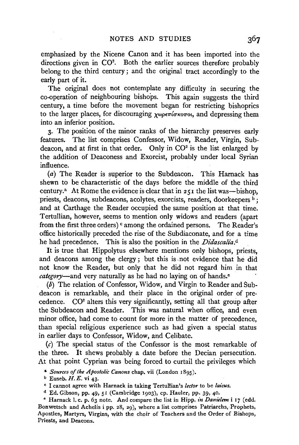emphasized by the Nicene Canon and it has been imported into the directions given in CO<sup>2</sup>. Both the earlier sources therefore probably belong to the third century ; and the original tract accordingly to the early part of it.

The original does not contemplate any difficulty in securing the co-operation of neighbouring bishops. This again suggests the third century, a time before the movement began for restricting bishoprics to the larger places, for discouraging  $\chi_{\omega\rho\epsilon\pi'\sigma\kappa\sigma\pi o\iota}$ , and depressing them into an inferior position.

3· The position of the minor ranks of the hierarchy preserves early features. The list comprises Confessor, Widow, Reader, Virgin, Subdeacon, and at first in that order. Only in  $CO<sup>2</sup>$  is the list enlarged by the addition of Deaconess and Exorcist, probably under local Syrian influence.

(a) The Reader is superior to the Subdeacon. This Harnack has shewn to be characteristic of the days before the middle of the third century.<sup>2</sup> At Rome the evidence is clear that in  $251$  the list was-bishop, priests, deacons, subdeacons, acolytes, exorcists, readers, doorkeepers  $\frac{b}{r}$ ; and at Carthage the Reader occupied the same position at that time. Tertullian, however, seems to mention only widows and readers (apart from the first three orders)  $c$  among the ordained persons. The Reader's office historically preceded the. rise of the Subdiaconate, and for a time he had precedence. This is also the position in the *Didascalia.d* 

It is true that Hippolytus elsewhere mentions only bishops, priests, and deacons among the clergy ; but this is ·not evidence that he did not know the Reader, but only that he did not regard him in that *category*—and very naturally as he had no laying on of hands.<sup>e</sup>

(b) The relation of Confessor, Widow, and Virgin to Reader and Subdeacon is remarkable, and their place in the original order of precedence. C02 alters this very significantly, setting all that group after the Subdeacon and Reader. This was natural when office, and even minor office, had come to count for more in the matter of precedence, than special religious experience such as had given a special status in earlier days to Confessor, Widow, and Celibate.

 $(c)$  The special status of the Confessor is the most remarkable of the three. It shews probably a date before the Decian persecution. At that point Cyprian was being forced to curtail the privileges which

• *Sources of the Apostolic Canons* chap. vii (London 1895).

 $<sup>b</sup>$  Euseb. H. E. vi 43.</sup>

c I cannot agree with Harnack in taking Tertullian's *lector* to be *laicus.* 

 $d$  Ed. Gibson, pp. 49, 51 (Cambridge 1903), cp. Hauler, pp. 39, 40.

• Harnack I. c. p. 63 note. And compare the list in Hipp. *in Danielem* i 17 (edd. Bonwetsch and Achelis i pp. 28, 29), where a list comprises Patriarchs, Prophets, Apostles, Martyrs, Virgins, with the choir of Teachers and the Order of Bishops, Priests, and Deacons.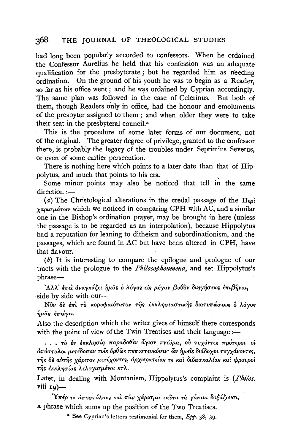had long been popularly accorded to confessors. When he ordained the Confessor Aurelius he held that his confession was an adequate qualification for the presbyterate; but he regarded him as needing ordination. On the ground of his youth he was to begin as a Reader, so far as his office went; and he was ordained by Cyprian accordingly. The same plan was followed in the case of Celerinus. But both of them, though Readers only in office, had the honour and emoluments of the presbyter assigned to them; and when older they were to take their seat in the presbyteral council.<sup>2</sup>

This is the procedure of some later forms of our document, not of the original. The greater degree of privilege, granted to the confessor there, is probably the legacy of the troubles under Septimius Severus, or even of some earlier persecution.

There is nothing here which points to a later date than that of Hippolytus, and much that points to his era.

Some minor points may also be noticed that tell in the same  $direction:$ 

(a) The Christological alterations in the credal passage of the  $\Pi \epsilon \rho \hat{i}$  $\chi$ αρισμάτων which we noticed in comparing CPH with AC, and a similar one in the Bishop's ordination prayer, may be brought in here (unless the passage is to be regarded as an interpolation), because Hippolytus had a reputation for leaning to ditheism and subordinationism, and the passages, which are found in AC but have been altered in CPH, have that flavour.

 $(b)$  It is interesting to compare the epilogue and prologue of our tracts with the prologue to the *Philosophoumena*, and set Hippolytus's phrase-

`Αλλ' ἐπεὶ ἀναγκάζει ἡμᾶς ὁ λόγος εἰς μέγαν βυθὸν διηγήσεως ἐπιβῆναι, side by side with our-

Νົυν δε έπι το κορυφαιότατον της εκκλησιαστικής διατυπώσεως δ λόγος  $\boldsymbol{\dot{\eta}}\mu\boldsymbol{\hat{a}}$ ς ἐπεί $\gamma$ ει.

Also the description which the writer gives of himself there corresponds with the point of view of the Twin Treatises and their language :-

... τὸ ἐν ἐκκλησία παραδοθὲν ἄγιον πνεῦμα, οὗ τυχόντες πρότεροι οἱ απόστολοι μετέδοσαν τοίς όρθως πεπιστευκόσιν· ων ήμεις διάδοχοι τυγχάνοντες, της δε αύτης χάριτος μετέχοντες, άρχιερατείας τε και διδασκαλίας και φρουροι της εκκλησίας λελογισμένοι κτλ.

Later, in dealing with Montanism, Hippolytus's complaint is (Philos. viii  $r_9$ —

Υπέρ τε άποστόλους και παν χάρισμα ταυτα τα γύναια δοξάζουσι, a phrase which sums up the position of the Two Treatises.

<sup>a</sup> See Cyprian's letters testimonial for them,  $Epp$ . 38, 39.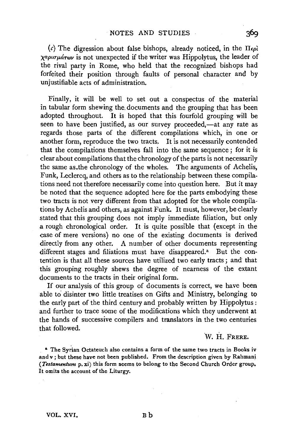(c) The digression about false bishops, already noticed, in the  $\Pi \epsilon \rho \lambda$ *xaptap.d.Twv* is not unexpected if the writer was Hippolytus, the leader of the rival party in Rome, who held that the recognized bishops had forfeited their position through faults of personal character and by unjustifiable acts of administration.

Finally, it will be well to set out a conspectus of the material in tabular form shewing the. documents and the grouping that has been adopted throughout. It is hoped that this fourfold grouping will be seen to have been justified, as our survey proceeded,-at any rate as regards those parts of the different compilations which, in one or another form, reproduce the two tracts. It is not necessarily contended that the compilations themselves fall into the same sequence; for it is dear about compilations that the chronology of the parts is not necessarily the same as.the chronology of the wholes. The arguments of Achelis, Funk, Leclercq, and others as to the relationship between these compilations need not therefore necessarily come into question here. But it may be noted that the sequence adopted here for the parts embodying these two tracts is not very different from that adopted for the whole compilations by Achelis and others, as against Funk. It must, however, be clearly stated that this grouping does not imply immediate filiation, but only a rough chronological order. It is quite possible that (except in the case of mere versions) no one of the existing documents is derived directly from any other. A number of other documents representing different stages and filiations must have disappeared.<sup>a</sup> But the contention is that all these sources have utilized two early tracts; and that this grouping roughly shews the degree of nearness of the extant documents to the tracts in their original form.

If our analysis of this group of documents is correct, we have been able to disinter two little treatises on Gifts and Ministry, belonging to the early part of the third century and probably written by Hippolytus: and further to trace some of the modifications which they underwent at the hands of successive compilers and translators in the two centuries that followed.

*w.* H. FRERE.

<sup>&</sup>lt;sup>a</sup> The Syrian Octateuch also contains a form of the same two tracts in Books iv and v ; but these have not been published. From the description given by Rahmani *(Testamentum* p. xi) this form seems to belong to the Second Church Order group. It omits the account of the Liturgy.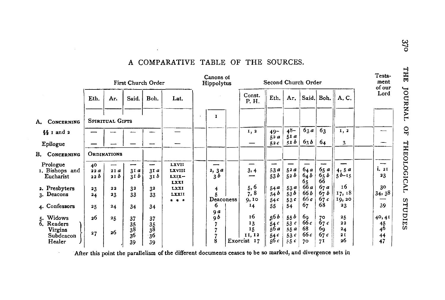|                                                                                                                                                             | First Church Order                             |                                                |                                                                                        |                                                                                       |                                                                      |  | Canons of<br>Hippolytus                                          |  | Second Church Order                                                                       |                                                                                   |                                                                                                      |                                                                              |                                                                                         |                                                                                             | Testa-<br>ment<br>of our |                                                                    |  |  |  |  |  |  |  |  |  |  |  |  |  |  |  |  |      |     |  |            |       |  |      |
|-------------------------------------------------------------------------------------------------------------------------------------------------------------|------------------------------------------------|------------------------------------------------|----------------------------------------------------------------------------------------|---------------------------------------------------------------------------------------|----------------------------------------------------------------------|--|------------------------------------------------------------------|--|-------------------------------------------------------------------------------------------|-----------------------------------------------------------------------------------|------------------------------------------------------------------------------------------------------|------------------------------------------------------------------------------|-----------------------------------------------------------------------------------------|---------------------------------------------------------------------------------------------|--------------------------|--------------------------------------------------------------------|--|--|--|--|--|--|--|--|--|--|--|--|--|--|--|--|------|-----|--|------------|-------|--|------|
|                                                                                                                                                             | Eth.                                           | Ar.                                            | Said.                                                                                  | Boh.                                                                                  | Lat.                                                                 |  |                                                                  |  |                                                                                           |                                                                                   |                                                                                                      |                                                                              |                                                                                         |                                                                                             |                          |                                                                    |  |  |  |  |  |  |  |  |  |  |  |  |  |  |  |  | Eth. | Ar. |  | Said. Boh. | A. C. |  | Lord |
| CONCERNING<br>А.                                                                                                                                            |                                                | <b>SPIRITUAL GIFTS</b>                         |                                                                                        |                                                                                       |                                                                      |  | 1                                                                |  |                                                                                           |                                                                                   |                                                                                                      |                                                                              |                                                                                         |                                                                                             |                          |                                                                    |  |  |  |  |  |  |  |  |  |  |  |  |  |  |  |  |      |     |  |            |       |  |      |
| §§ I and 2                                                                                                                                                  |                                                |                                                |                                                                                        |                                                                                       |                                                                      |  |                                                                  |  | 1, 2                                                                                      | $49 -$<br>52a<br>52c                                                              | $48 -$<br>51a<br>51b                                                                                 | 63a<br>63b                                                                   | 63<br>64                                                                                | I, 2<br>3                                                                                   |                          |                                                                    |  |  |  |  |  |  |  |  |  |  |  |  |  |  |  |  |      |     |  |            |       |  |      |
| Epilogue<br>В.<br>CONCERNING                                                                                                                                |                                                | <b>ORDINATIONS</b>                             |                                                                                        |                                                                                       |                                                                      |  |                                                                  |  |                                                                                           |                                                                                   |                                                                                                      |                                                                              |                                                                                         |                                                                                             |                          |                                                                    |  |  |  |  |  |  |  |  |  |  |  |  |  |  |  |  |      |     |  |            |       |  |      |
| Prologue<br>I. Bishops and<br>Eucharist<br>2. Presbyters<br>3. Deacons<br>4. Confessors<br>5. Widows<br>6. Readers<br><b>Virgins</b><br>Subdeacon<br>Healer | 40<br>22a<br>22b<br>23<br>24<br>25<br>26<br>27 | --<br>2Id<br>21b<br>22<br>23<br>24<br>25<br>26 | $\overline{\phantom{a}}$<br>31a<br>31b<br>32<br>33<br>34<br>37<br>35<br>38<br>36<br>39 | --<br>3Ia<br>31 b<br>32<br>33<br>34<br>37<br>$\frac{35}{38}$<br>$\overline{3}6$<br>39 | LXVII<br>LXVIII<br>$LXIX -$<br><b>LXXI</b><br>LXXI<br>LXXII<br>* * * |  | 2, 3a<br>3 <sub>b</sub><br>4<br>Deaconess<br>6<br>9a<br>9 b<br>8 |  | 3, 4<br>----<br>5, 6<br>8<br>7,<br>9, 10<br>14<br>16<br>13<br>15<br>11, 12<br>Exorcist 17 | 53a<br>53b<br>54a<br>54b<br>54c<br>55<br>56 b<br>$\frac{54}{56}$ a<br>54c<br>56 c | 52a<br>5 <sup>2</sup> b<br>53a<br>53 <sub>b</sub><br>53 c<br>54<br>55 b<br>53c<br>55a<br>53 c<br>55c | 64a<br>64b<br>65<br>66a<br>66 b<br>66c<br>67<br>69<br>66c<br>68<br>66c<br>70 | 65a<br>65b<br>66<br>67a<br>67b<br>67c<br>68<br>70<br>67c<br>69<br>67c<br>7 <sup>T</sup> | 4, 5a<br>$5b - 15$<br>16<br>17, 18<br>19,20<br>23<br>25<br>22<br>$^{24}$<br><b>2T</b><br>26 |                          | i, 21<br>23<br>30<br>34,38<br>39<br>40, 41<br>45<br>46<br>44<br>47 |  |  |  |  |  |  |  |  |  |  |  |  |  |  |  |  |      |     |  |            |       |  |      |

## A COMPARATIVE TABLE OF THE SOURCES.

After this point the parallelism of the different documents ceases to be so marked, and divergence sets in